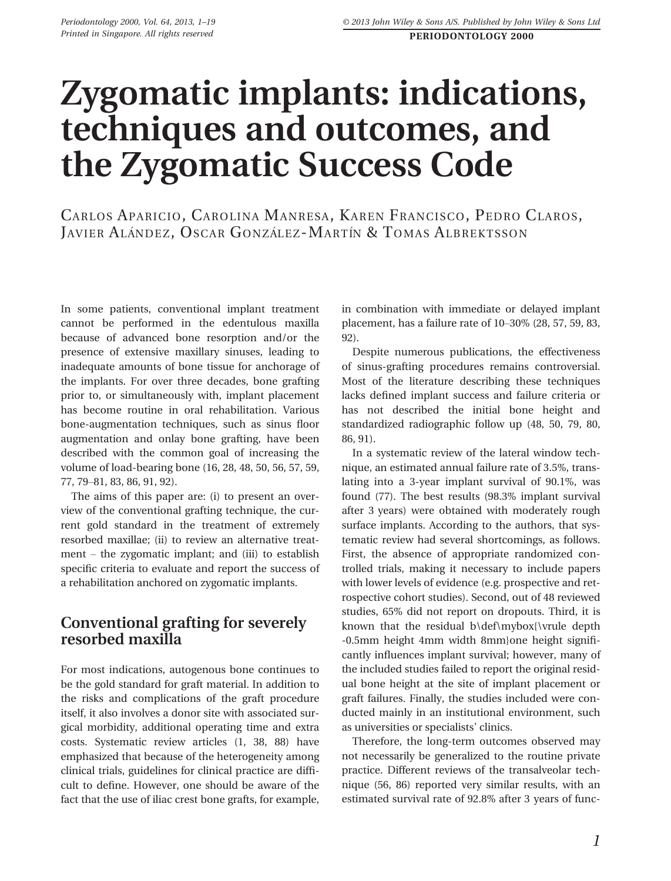# Zygomatic implants: indications, techniques and outcomes, and the Zygomatic Success Code

CARLOS APARICIO, CAROLINA MANRESA, KAREN FRANCISCO, PEDRO CLAROS, JAVIER ALÁNDEZ, OSCAR GONZÁLEZ-MARTÍN & TOMAS ALBREKTSSON

In some patients, conventional implant treatment cannot be performed in the edentulous maxilla because of advanced bone resorption and/or the presence of extensive maxillary sinuses, leading to inadequate amounts of bone tissue for anchorage of the implants. For over three decades, bone grafting prior to, or simultaneously with, implant placement has become routine in oral rehabilitation. Various bone-augmentation techniques, such as sinus floor augmentation and onlay bone grafting, have been described with the common goal of increasing the volume of load-bearing bone (16, 28, 48, 50, 56, 57, 59, 77, 79–81, 83, 86, 91, 92).

The aims of this paper are: (i) to present an overview of the conventional grafting technique, the current gold standard in the treatment of extremely resorbed maxillae; (ii) to review an alternative treatment – the zygomatic implant; and (iii) to establish specific criteria to evaluate and report the success of a rehabilitation anchored on zygomatic implants.

## Conventional grafting for severely resorbed maxilla

For most indications, autogenous bone continues to be the gold standard for graft material. In addition to the risks and complications of the graft procedure itself, it also involves a donor site with associated surgical morbidity, additional operating time and extra costs. Systematic review articles (1, 38, 88) have emphasized that because of the heterogeneity among clinical trials, guidelines for clinical practice are difficult to define. However, one should be aware of the fact that the use of iliac crest bone grafts, for example, in combination with immediate or delayed implant placement, has a failure rate of 10–30% (28, 57, 59, 83, 92).

Despite numerous publications, the effectiveness of sinus-grafting procedures remains controversial. Most of the literature describing these techniques lacks defined implant success and failure criteria or has not described the initial bone height and standardized radiographic follow up (48, 50, 79, 80, 86, 91).

In a systematic review of the lateral window technique, an estimated annual failure rate of 3.5%, translating into a 3-year implant survival of 90.1%, was found (77). The best results (98.3% implant survival after 3 years) were obtained with moderately rough surface implants. According to the authors, that systematic review had several shortcomings, as follows. First, the absence of appropriate randomized controlled trials, making it necessary to include papers with lower levels of evidence (e.g. prospective and retrospective cohort studies). Second, out of 48 reviewed studies, 65% did not report on dropouts. Third, it is known that the residual b\def\mybox{\vrule depth -0.5mm height 4mm width 8mm}one height significantly influences implant survival; however, many of the included studies failed to report the original residual bone height at the site of implant placement or graft failures. Finally, the studies included were conducted mainly in an institutional environment, such as universities or specialists' clinics.

Therefore, the long-term outcomes observed may not necessarily be generalized to the routine private practice. Different reviews of the transalveolar technique (56, 86) reported very similar results, with an estimated survival rate of 92.8% after 3 years of func-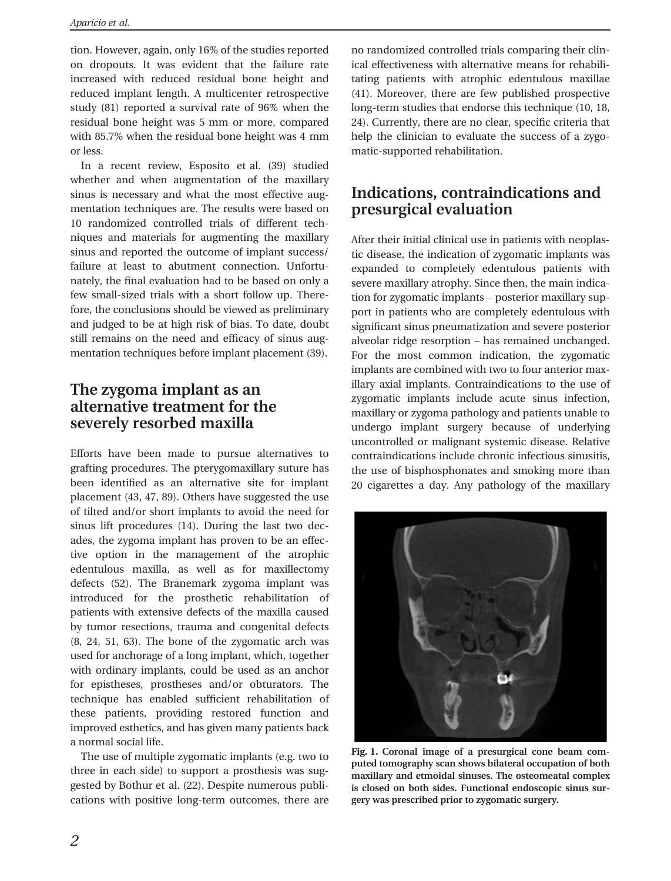tion. However, again, only 16% of the studies reported on dropouts. It was evident that the failure rate increased with reduced residual bone height and reduced implant length. A multicenter retrospective study (81) reported a survival rate of 96% when the residual bone height was 5 mm or more, compared with 85.7% when the residual bone height was 4 mm or less.

In a recent review, Esposito et al. (39) studied whether and when augmentation of the maxillary sinus is necessary and what the most effective augmentation techniques are. The results were based on 10 randomized controlled trials of different techniques and materials for augmenting the maxillary sinus and reported the outcome of implant success/ failure at least to abutment connection. Unfortunately, the final evaluation had to be based on only a few small-sized trials with a short follow up. Therefore, the conclusions should be viewed as preliminary and judged to be at high risk of bias. To date, doubt still remains on the need and efficacy of sinus augmentation techniques before implant placement (39).

## The zygoma implant as an alternative treatment for the severely resorbed maxilla

Efforts have been made to pursue alternatives to grafting procedures. The pterygomaxillary suture has been identified as an alternative site for implant placement (43, 47, 89). Others have suggested the use of tilted and/or short implants to avoid the need for sinus lift procedures (14). During the last two decades, the zygoma implant has proven to be an effective option in the management of the atrophic edentulous maxilla, as well as for maxillectomy defects (52). The Brånemark zygoma implant was introduced for the prosthetic rehabilitation of patients with extensive defects of the maxilla caused by tumor resections, trauma and congenital defects (8, 24, 51, 63). The bone of the zygomatic arch was used for anchorage of a long implant, which, together with ordinary implants, could be used as an anchor for epistheses, prostheses and/or obturators. The technique has enabled sufficient rehabilitation of these patients, providing restored function and improved esthetics, and has given many patients back a normal social life.

The use of multiple zygomatic implants (e.g. two to three in each side) to support a prosthesis was suggested by Bothur et al. (22). Despite numerous publications with positive long-term outcomes, there are no randomized controlled trials comparing their clinical effectiveness with alternative means for rehabilitating patients with atrophic edentulous maxillae (41). Moreover, there are few published prospective long-term studies that endorse this technique (10, 18, 24). Currently, there are no clear, specific criteria that help the clinician to evaluate the success of a zygomatic-supported rehabilitation.

## Indications, contraindications and presurgical evaluation

After their initial clinical use in patients with neoplastic disease, the indication of zygomatic implants was expanded to completely edentulous patients with severe maxillary atrophy. Since then, the main indication for zygomatic implants – posterior maxillary support in patients who are completely edentulous with significant sinus pneumatization and severe posterior alveolar ridge resorption – has remained unchanged. For the most common indication, the zygomatic implants are combined with two to four anterior maxillary axial implants. Contraindications to the use of zygomatic implants include acute sinus infection, maxillary or zygoma pathology and patients unable to undergo implant surgery because of underlying uncontrolled or malignant systemic disease. Relative contraindications include chronic infectious sinusitis, the use of bisphosphonates and smoking more than 20 cigarettes a day. Any pathology of the maxillary



Fig. 1. Coronal image of a presurgical cone beam computed tomography scan shows bilateral occupation of both maxillary and etmoidal sinuses. The osteomeatal complex is closed on both sides. Functional endoscopic sinus surgery was prescribed prior to zygomatic surgery.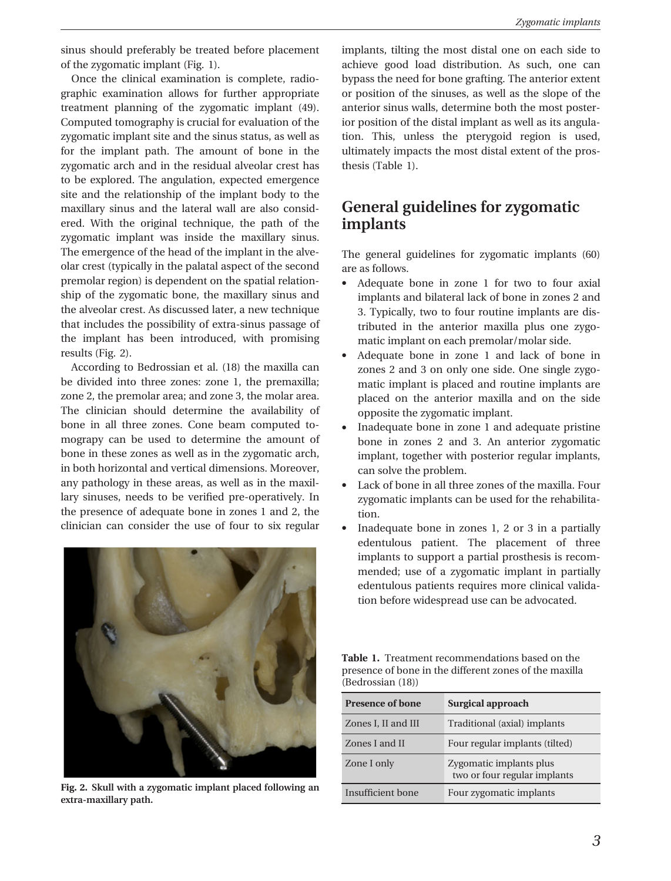sinus should preferably be treated before placement of the zygomatic implant (Fig. 1).

Once the clinical examination is complete, radiographic examination allows for further appropriate treatment planning of the zygomatic implant (49). Computed tomography is crucial for evaluation of the zygomatic implant site and the sinus status, as well as for the implant path. The amount of bone in the zygomatic arch and in the residual alveolar crest has to be explored. The angulation, expected emergence site and the relationship of the implant body to the maxillary sinus and the lateral wall are also considered. With the original technique, the path of the zygomatic implant was inside the maxillary sinus. The emergence of the head of the implant in the alveolar crest (typically in the palatal aspect of the second premolar region) is dependent on the spatial relationship of the zygomatic bone, the maxillary sinus and the alveolar crest. As discussed later, a new technique that includes the possibility of extra-sinus passage of the implant has been introduced, with promising results (Fig. 2).

According to Bedrossian et al. (18) the maxilla can be divided into three zones: zone 1, the premaxilla; zone 2, the premolar area; and zone 3, the molar area. The clinician should determine the availability of bone in all three zones. Cone beam computed tomograpy can be used to determine the amount of bone in these zones as well as in the zygomatic arch, in both horizontal and vertical dimensions. Moreover, any pathology in these areas, as well as in the maxillary sinuses, needs to be verified pre-operatively. In the presence of adequate bone in zones 1 and 2, the clinician can consider the use of four to six regular



Fig. 2. Skull with a zygomatic implant placed following an extra-maxillary path.

implants, tilting the most distal one on each side to achieve good load distribution. As such, one can bypass the need for bone grafting. The anterior extent or position of the sinuses, as well as the slope of the anterior sinus walls, determine both the most posterior position of the distal implant as well as its angulation. This, unless the pterygoid region is used, ultimately impacts the most distal extent of the prosthesis (Table 1).

## General guidelines for zygomatic implants

The general guidelines for zygomatic implants (60) are as follows.

- Adequate bone in zone 1 for two to four axial implants and bilateral lack of bone in zones 2 and 3. Typically, two to four routine implants are distributed in the anterior maxilla plus one zygomatic implant on each premolar/molar side.
- Adequate bone in zone 1 and lack of bone in zones 2 and 3 on only one side. One single zygomatic implant is placed and routine implants are placed on the anterior maxilla and on the side opposite the zygomatic implant.
- Inadequate bone in zone 1 and adequate pristine bone in zones 2 and 3. An anterior zygomatic implant, together with posterior regular implants, can solve the problem.
- Lack of bone in all three zones of the maxilla. Four zygomatic implants can be used for the rehabilitation.
- Inadequate bone in zones 1, 2 or 3 in a partially edentulous patient. The placement of three implants to support a partial prosthesis is recommended; use of a zygomatic implant in partially edentulous patients requires more clinical validation before widespread use can be advocated.

Table 1. Treatment recommendations based on the presence of bone in the different zones of the maxilla (Bedrossian (18))

| <b>Presence of bone</b> | Surgical approach                                       |
|-------------------------|---------------------------------------------------------|
| Zones I, II and III     | Traditional (axial) implants                            |
| Zones I and II          | Four regular implants (tilted)                          |
| Zone I only             | Zygomatic implants plus<br>two or four regular implants |
| Insufficient bone       | Four zygomatic implants                                 |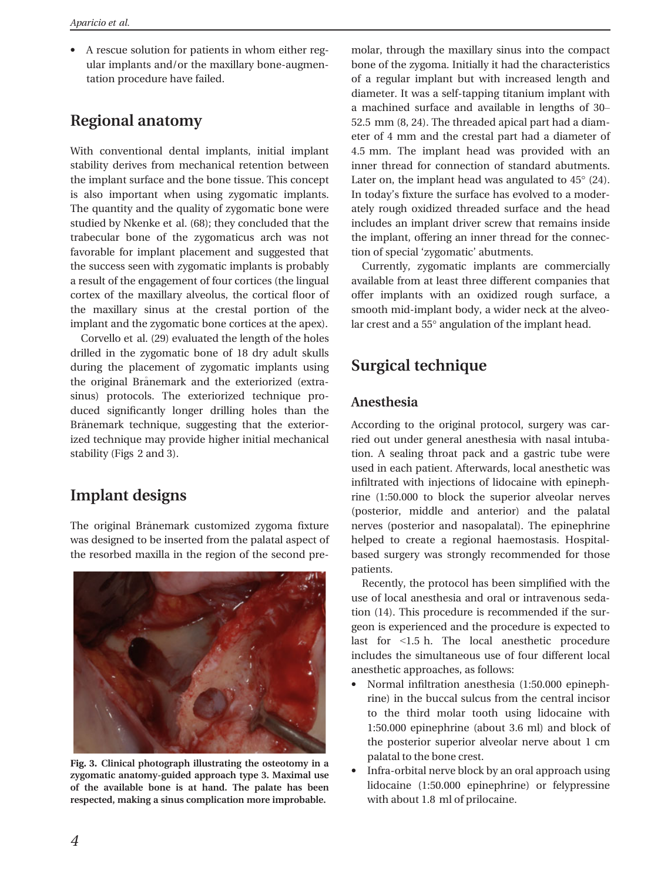A rescue solution for patients in whom either regular implants and/or the maxillary bone-augmentation procedure have failed.

# Regional anatomy

With conventional dental implants, initial implant stability derives from mechanical retention between the implant surface and the bone tissue. This concept is also important when using zygomatic implants. The quantity and the quality of zygomatic bone were studied by Nkenke et al. (68); they concluded that the trabecular bone of the zygomaticus arch was not favorable for implant placement and suggested that the success seen with zygomatic implants is probably a result of the engagement of four cortices (the lingual cortex of the maxillary alveolus, the cortical floor of the maxillary sinus at the crestal portion of the implant and the zygomatic bone cortices at the apex).

Corvello et al. (29) evaluated the length of the holes drilled in the zygomatic bone of 18 dry adult skulls during the placement of zygomatic implants using the original Brånemark and the exteriorized (extrasinus) protocols. The exteriorized technique produced significantly longer drilling holes than the Brånemark technique, suggesting that the exteriorized technique may provide higher initial mechanical stability (Figs 2 and 3).

# Implant designs

The original Brånemark customized zygoma fixture was designed to be inserted from the palatal aspect of the resorbed maxilla in the region of the second pre-



Fig. 3. Clinical photograph illustrating the osteotomy in a zygomatic anatomy-guided approach type 3. Maximal use of the available bone is at hand. The palate has been respected, making a sinus complication more improbable.

molar, through the maxillary sinus into the compact bone of the zygoma. Initially it had the characteristics of a regular implant but with increased length and diameter. It was a self-tapping titanium implant with a machined surface and available in lengths of 30– 52.5 mm (8, 24). The threaded apical part had a diameter of 4 mm and the crestal part had a diameter of 4.5 mm. The implant head was provided with an inner thread for connection of standard abutments. Later on, the implant head was angulated to 45° (24). In today's fixture the surface has evolved to a moderately rough oxidized threaded surface and the head includes an implant driver screw that remains inside the implant, offering an inner thread for the connection of special 'zygomatic' abutments.

Currently, zygomatic implants are commercially available from at least three different companies that offer implants with an oxidized rough surface, a smooth mid-implant body, a wider neck at the alveolar crest and a 55° angulation of the implant head.

# Surgical technique

## Anesthesia

According to the original protocol, surgery was carried out under general anesthesia with nasal intubation. A sealing throat pack and a gastric tube were used in each patient. Afterwards, local anesthetic was infiltrated with injections of lidocaine with epinephrine (1:50.000 to block the superior alveolar nerves (posterior, middle and anterior) and the palatal nerves (posterior and nasopalatal). The epinephrine helped to create a regional haemostasis. Hospitalbased surgery was strongly recommended for those patients.

Recently, the protocol has been simplified with the use of local anesthesia and oral or intravenous sedation (14). This procedure is recommended if the surgeon is experienced and the procedure is expected to last for <1.5 h. The local anesthetic procedure includes the simultaneous use of four different local anesthetic approaches, as follows:

- Normal infiltration anesthesia (1:50.000 epinephrine) in the buccal sulcus from the central incisor to the third molar tooth using lidocaine with 1:50.000 epinephrine (about 3.6 ml) and block of the posterior superior alveolar nerve about 1 cm palatal to the bone crest.
- Infra-orbital nerve block by an oral approach using lidocaine (1:50.000 epinephrine) or felypressine with about 1.8 ml of prilocaine.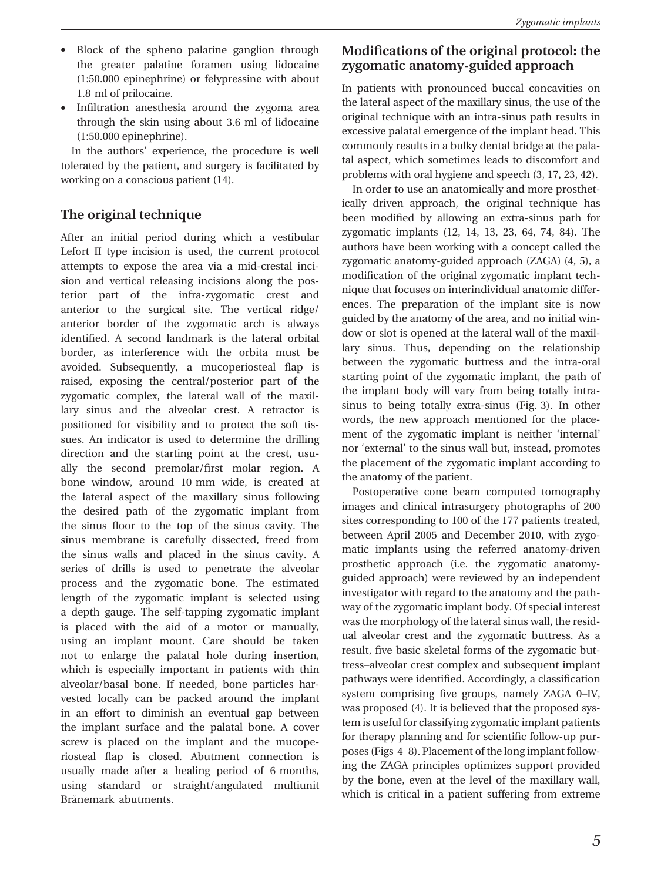- Block of the spheno–palatine ganglion through the greater palatine foramen using lidocaine (1:50.000 epinephrine) or felypressine with about 1.8 ml of prilocaine.
- Infiltration anesthesia around the zygoma area through the skin using about 3.6 ml of lidocaine (1:50.000 epinephrine).

In the authors' experience, the procedure is well tolerated by the patient, and surgery is facilitated by working on a conscious patient (14).

#### The original technique

After an initial period during which a vestibular Lefort II type incision is used, the current protocol attempts to expose the area via a mid-crestal incision and vertical releasing incisions along the posterior part of the infra-zygomatic crest and anterior to the surgical site. The vertical ridge/ anterior border of the zygomatic arch is always identified. A second landmark is the lateral orbital border, as interference with the orbita must be avoided. Subsequently, a mucoperiosteal flap is raised, exposing the central/posterior part of the zygomatic complex, the lateral wall of the maxillary sinus and the alveolar crest. A retractor is positioned for visibility and to protect the soft tissues. An indicator is used to determine the drilling direction and the starting point at the crest, usually the second premolar/first molar region. A bone window, around 10 mm wide, is created at the lateral aspect of the maxillary sinus following the desired path of the zygomatic implant from the sinus floor to the top of the sinus cavity. The sinus membrane is carefully dissected, freed from the sinus walls and placed in the sinus cavity. A series of drills is used to penetrate the alveolar process and the zygomatic bone. The estimated length of the zygomatic implant is selected using a depth gauge. The self-tapping zygomatic implant is placed with the aid of a motor or manually, using an implant mount. Care should be taken not to enlarge the palatal hole during insertion, which is especially important in patients with thin alveolar/basal bone. If needed, bone particles harvested locally can be packed around the implant in an effort to diminish an eventual gap between the implant surface and the palatal bone. A cover screw is placed on the implant and the mucoperiosteal flap is closed. Abutment connection is usually made after a healing period of 6 months, using standard or straight/angulated multiunit Brånemark abutments.

#### Modifications of the original protocol: the zygomatic anatomy-guided approach

In patients with pronounced buccal concavities on the lateral aspect of the maxillary sinus, the use of the original technique with an intra-sinus path results in excessive palatal emergence of the implant head. This commonly results in a bulky dental bridge at the palatal aspect, which sometimes leads to discomfort and problems with oral hygiene and speech (3, 17, 23, 42).

In order to use an anatomically and more prosthetically driven approach, the original technique has been modified by allowing an extra-sinus path for zygomatic implants (12, 14, 13, 23, 64, 74, 84). The authors have been working with a concept called the zygomatic anatomy-guided approach (ZAGA) (4, 5), a modification of the original zygomatic implant technique that focuses on interindividual anatomic differences. The preparation of the implant site is now guided by the anatomy of the area, and no initial window or slot is opened at the lateral wall of the maxillary sinus. Thus, depending on the relationship between the zygomatic buttress and the intra-oral starting point of the zygomatic implant, the path of the implant body will vary from being totally intrasinus to being totally extra-sinus (Fig. 3). In other words, the new approach mentioned for the placement of the zygomatic implant is neither 'internal' nor 'external' to the sinus wall but, instead, promotes the placement of the zygomatic implant according to the anatomy of the patient.

Postoperative cone beam computed tomography images and clinical intrasurgery photographs of 200 sites corresponding to 100 of the 177 patients treated, between April 2005 and December 2010, with zygomatic implants using the referred anatomy-driven prosthetic approach (i.e. the zygomatic anatomyguided approach) were reviewed by an independent investigator with regard to the anatomy and the pathway of the zygomatic implant body. Of special interest was the morphology of the lateral sinus wall, the residual alveolar crest and the zygomatic buttress. As a result, five basic skeletal forms of the zygomatic buttress–alveolar crest complex and subsequent implant pathways were identified. Accordingly, a classification system comprising five groups, namely ZAGA 0–IV, was proposed (4). It is believed that the proposed system is useful for classifying zygomatic implant patients for therapy planning and for scientific follow-up purposes (Figs 4–8). Placement of the long implant following the ZAGA principles optimizes support provided by the bone, even at the level of the maxillary wall, which is critical in a patient suffering from extreme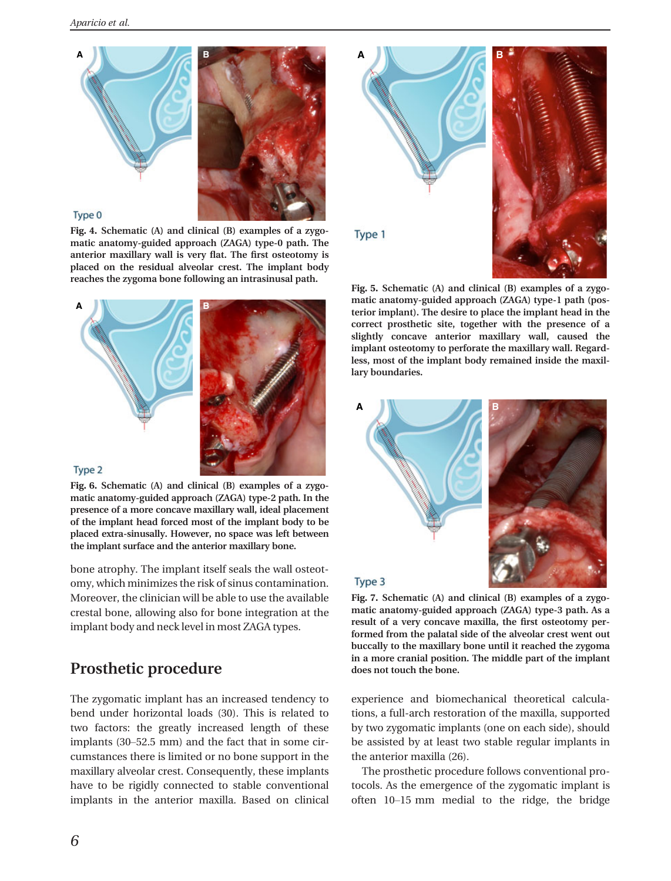

#### Type 0

Fig. 4. Schematic (A) and clinical (B) examples of a zygomatic anatomy-guided approach (ZAGA) type-0 path. The anterior maxillary wall is very flat. The first osteotomy is placed on the residual alveolar crest. The implant body reaches the zygoma bone following an intrasinusal path.



#### Type 2

Fig. 6. Schematic (A) and clinical (B) examples of a zygomatic anatomy-guided approach (ZAGA) type-2 path. In the presence of a more concave maxillary wall, ideal placement of the implant head forced most of the implant body to be placed extra-sinusally. However, no space was left between the implant surface and the anterior maxillary bone.

bone atrophy. The implant itself seals the wall osteotomy, which minimizes the risk of sinus contamination. Moreover, the clinician will be able to use the available crestal bone, allowing also for bone integration at the implant body and neck level in most ZAGA types.

## Prosthetic procedure

The zygomatic implant has an increased tendency to bend under horizontal loads (30). This is related to two factors: the greatly increased length of these implants (30–52.5 mm) and the fact that in some circumstances there is limited or no bone support in the maxillary alveolar crest. Consequently, these implants have to be rigidly connected to stable conventional implants in the anterior maxilla. Based on clinical



Fig. 5. Schematic (A) and clinical (B) examples of a zygomatic anatomy-guided approach (ZAGA) type-1 path (posterior implant). The desire to place the implant head in the correct prosthetic site, together with the presence of a slightly concave anterior maxillary wall, caused the implant osteotomy to perforate the maxillary wall. Regardless, most of the implant body remained inside the maxillary boundaries.



#### Type 3

Fig. 7. Schematic (A) and clinical (B) examples of a zygomatic anatomy-guided approach (ZAGA) type-3 path. As a result of a very concave maxilla, the first osteotomy performed from the palatal side of the alveolar crest went out buccally to the maxillary bone until it reached the zygoma in a more cranial position. The middle part of the implant does not touch the bone.

experience and biomechanical theoretical calculations, a full-arch restoration of the maxilla, supported by two zygomatic implants (one on each side), should be assisted by at least two stable regular implants in the anterior maxilla (26).

The prosthetic procedure follows conventional protocols. As the emergence of the zygomatic implant is often 10–15 mm medial to the ridge, the bridge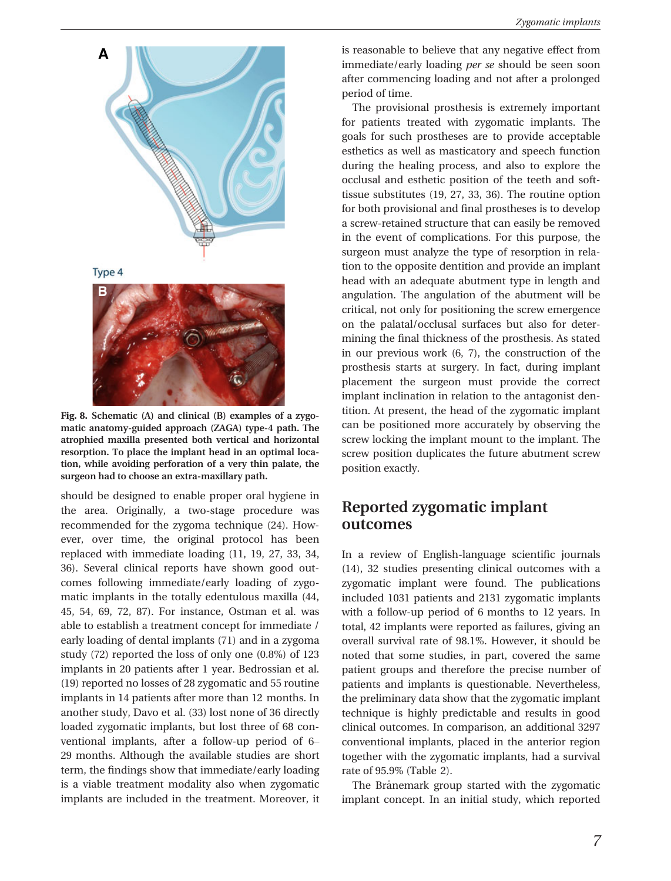



Fig. 8. Schematic (A) and clinical (B) examples of a zygomatic anatomy-guided approach (ZAGA) type-4 path. The atrophied maxilla presented both vertical and horizontal resorption. To place the implant head in an optimal location, while avoiding perforation of a very thin palate, the surgeon had to choose an extra-maxillary path.

should be designed to enable proper oral hygiene in the area. Originally, a two-stage procedure was recommended for the zygoma technique (24). However, over time, the original protocol has been replaced with immediate loading (11, 19, 27, 33, 34, 36). Several clinical reports have shown good outcomes following immediate/early loading of zygomatic implants in the totally edentulous maxilla (44, 45, 54, 69, 72, 87). For instance, Ostman et al. was able to establish a treatment concept for immediate / early loading of dental implants (71) and in a zygoma study (72) reported the loss of only one (0.8%) of 123 implants in 20 patients after 1 year. Bedrossian et al. (19) reported no losses of 28 zygomatic and 55 routine implants in 14 patients after more than 12 months. In another study, Davo et al. (33) lost none of 36 directly loaded zygomatic implants, but lost three of 68 conventional implants, after a follow-up period of 6– 29 months. Although the available studies are short term, the findings show that immediate/early loading is a viable treatment modality also when zygomatic implants are included in the treatment. Moreover, it is reasonable to believe that any negative effect from immediate/early loading per se should be seen soon after commencing loading and not after a prolonged period of time.

The provisional prosthesis is extremely important for patients treated with zygomatic implants. The goals for such prostheses are to provide acceptable esthetics as well as masticatory and speech function during the healing process, and also to explore the occlusal and esthetic position of the teeth and softtissue substitutes (19, 27, 33, 36). The routine option for both provisional and final prostheses is to develop a screw-retained structure that can easily be removed in the event of complications. For this purpose, the surgeon must analyze the type of resorption in relation to the opposite dentition and provide an implant head with an adequate abutment type in length and angulation. The angulation of the abutment will be critical, not only for positioning the screw emergence on the palatal/occlusal surfaces but also for determining the final thickness of the prosthesis. As stated in our previous work (6, 7), the construction of the prosthesis starts at surgery. In fact, during implant placement the surgeon must provide the correct implant inclination in relation to the antagonist dentition. At present, the head of the zygomatic implant can be positioned more accurately by observing the screw locking the implant mount to the implant. The screw position duplicates the future abutment screw position exactly.

### Reported zygomatic implant outcomes

In a review of English-language scientific journals (14), 32 studies presenting clinical outcomes with a zygomatic implant were found. The publications included 1031 patients and 2131 zygomatic implants with a follow-up period of 6 months to 12 years. In total, 42 implants were reported as failures, giving an overall survival rate of 98.1%. However, it should be noted that some studies, in part, covered the same patient groups and therefore the precise number of patients and implants is questionable. Nevertheless, the preliminary data show that the zygomatic implant technique is highly predictable and results in good clinical outcomes. In comparison, an additional 3297 conventional implants, placed in the anterior region together with the zygomatic implants, had a survival rate of 95.9% (Table 2).

The Brånemark group started with the zygomatic implant concept. In an initial study, which reported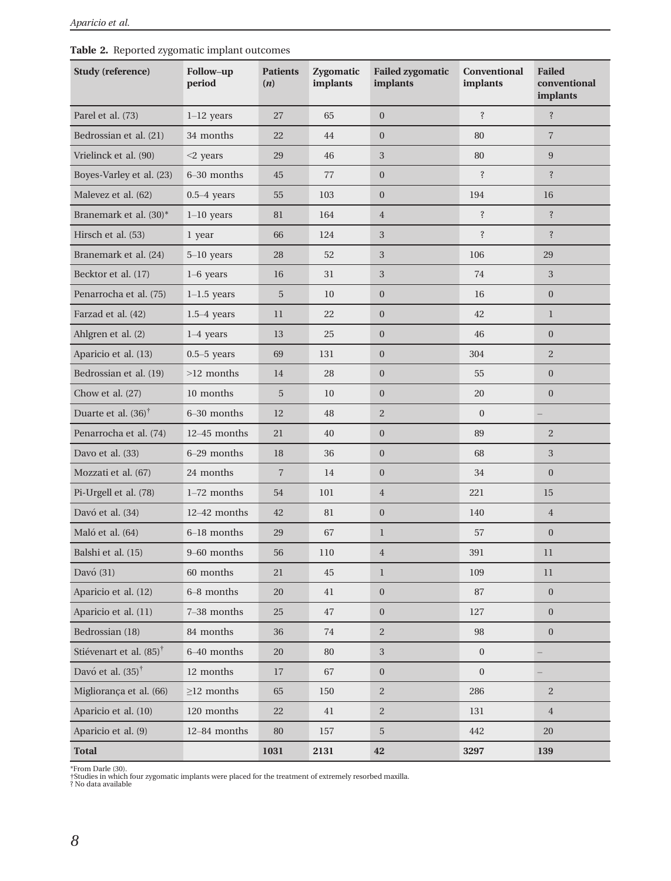#### Table 2. Reported zygomatic implant outcomes

| <b>Study (reference)</b>            | Follow-up<br>period | <b>Patients</b><br>(n) | Zygomatic<br><b>implants</b> | <b>Failed zygomatic</b><br><b>implants</b> | Conventional<br>implants | <b>Failed</b><br>conventional<br>implants |
|-------------------------------------|---------------------|------------------------|------------------------------|--------------------------------------------|--------------------------|-------------------------------------------|
| Parel et al. (73)                   | $1-12$ years        | 27                     | 65                           | $\mathbf{0}$                               | $\ddot{\cdot}$           | $\ddot{?}$                                |
| Bedrossian et al. (21)              | 34 months           | 22                     | 44                           | $\overline{0}$                             | 80                       | $\overline{7}$                            |
| Vrielinck et al. (90)               | $<$ 2 years         | 29                     | 46                           | 3                                          | 80                       | 9                                         |
| Boyes-Varley et al. (23)            | 6-30 months         | 45                     | 77                           | $\mathbf{0}$                               | $\overline{\mathcal{E}}$ | $\ddot{?}$                                |
| Malevez et al. (62)                 | $0.5 - 4$ years     | 55                     | 103                          | $\mathbf{0}$                               | 194                      | 16                                        |
| Branemark et al. (30)*              | $1-10$ years        | 81                     | 164                          | $\overline{4}$                             | $\ddot{\cdot}$           | $\ddot{?}$                                |
| Hirsch et al. (53)                  | 1 year              | 66                     | 124                          | 3                                          | $\ddot{S}$               | $\ddot{?}$                                |
| Branemark et al. (24)               | $5-10$ years        | 28                     | 52                           | 3                                          | 106                      | 29                                        |
| Becktor et al. (17)                 | $1-6$ years         | 16                     | 31                           | 3                                          | 74                       | 3                                         |
| Penarrocha et al. (75)              | $1-1.5$ years       | 5                      | 10                           | $\boldsymbol{0}$                           | 16                       | $\mathbf{0}$                              |
| Farzad et al. (42)                  | $1.5 - 4$ years     | 11                     | 22                           | $\overline{0}$                             | 42                       | $\mathbf{1}$                              |
| Ahlgren et al. (2)                  | $1-4$ years         | 13                     | 25                           | $\mathbf{0}$                               | 46                       | $\mathbf{0}$                              |
| Aparicio et al. (13)                | $0.5 - 5$ years     | 69                     | 131                          | $\overline{0}$                             | 304                      | $\overline{2}$                            |
| Bedrossian et al. (19)              | $>12$ months        | 14                     | 28                           | $\boldsymbol{0}$                           | 55                       | $\boldsymbol{0}$                          |
| Chow et al. (27)                    | 10 months           | 5                      | 10                           | $\boldsymbol{0}$                           | 20                       | $\boldsymbol{0}$                          |
| Duarte et al. $(36)$ <sup>†</sup>   | 6-30 months         | 12                     | 48                           | $\overline{2}$                             | $\overline{0}$           |                                           |
| Penarrocha et al. (74)              | $12-45$ months      | 21                     | 40                           | $\mathbf{0}$                               | 89                       | $\overline{2}$                            |
| Davo et al. (33)                    | 6-29 months         | 18                     | 36                           | $\mathbf{0}$                               | 68                       | 3                                         |
| Mozzati et al. (67)                 | 24 months           | $\overline{7}$         | 14                           | $\mathbf{0}$                               | 34                       | $\overline{0}$                            |
| Pi-Urgell et al. (78)               | $1-72$ months       | 54                     | 101                          | $\overline{4}$                             | 221                      | 15                                        |
| Davó et al. (34)                    | 12-42 months        | 42                     | 81                           | $\mathbf{0}$                               | 140                      | $\overline{4}$                            |
| Maló et al. (64)                    | 6-18 months         | 29                     | 67                           | $\mathbf{1}$                               | 57                       | $\mathbf{0}$                              |
| Balshi et al. (15)                  | 9-60 months         | 56                     | 110                          | $\overline{4}$                             | 391                      | 11                                        |
| Davó (31)                           | 60 months           | $21\,$                 | 45                           | $\mathbf{1}$                               | 109                      | 11                                        |
| Aparicio et al. (12)                | $6 - 8$ months      | 20                     | 41                           | $\mathbf{0}$                               | 87                       | $\mathbf{0}$                              |
| Aparicio et al. (11)                | 7-38 months         | 25                     | 47                           | $\boldsymbol{0}$                           | 127                      | $\boldsymbol{0}$                          |
| Bedrossian (18)                     | 84 months           | 36                     | 74                           | $\sqrt{2}$                                 | $98\,$                   | $\boldsymbol{0}$                          |
| Stiévenart et al. (85) <sup>†</sup> | 6-40 months         | 20                     | 80                           | $\sqrt{3}$                                 | $\boldsymbol{0}$         |                                           |
| Davó et al. $(35)^{\dagger}$        | 12 months           | 17                     | 67                           | $\mathbf{0}$                               | $\boldsymbol{0}$         |                                           |
| Migliorança et al. (66)             | $\geq$ 12 months    | 65                     | 150                          | $\overline{c}$                             | 286                      | 2                                         |
| Aparicio et al. (10)                | 120 months          | 22                     | 41                           | $\overline{c}$                             | 131                      | $\overline{4}$                            |
| Aparicio et al. (9)                 | 12-84 months        | 80                     | 157                          | 5                                          | 442                      | 20                                        |
| <b>Total</b>                        |                     | 1031                   | 2131                         | 42                                         | 3297                     | 139                                       |

\*From Darle (30). †Studies in which four zygomatic implants were placed for the treatment of extremely resorbed maxilla. ? No data available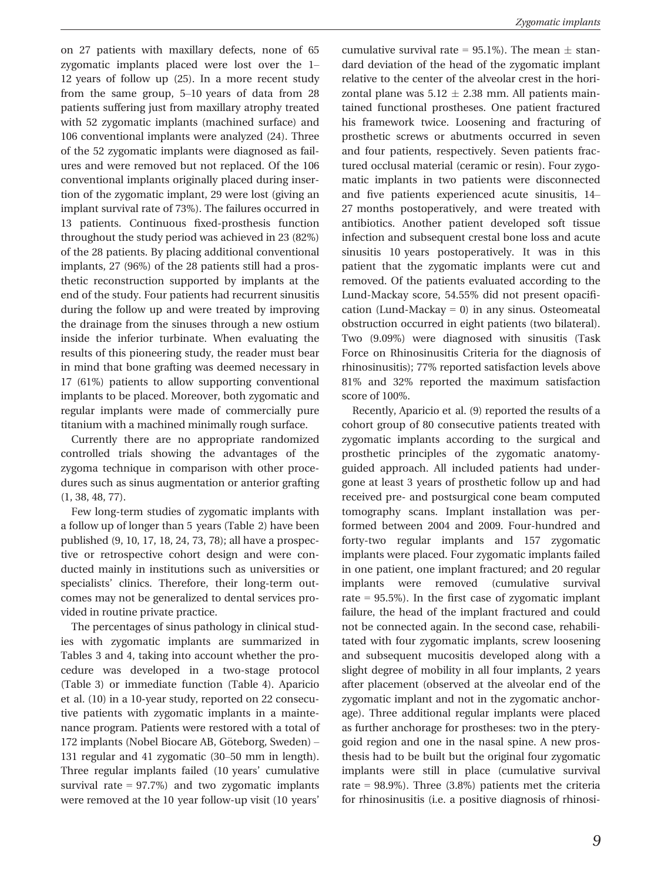on 27 patients with maxillary defects, none of 65 zygomatic implants placed were lost over the 1– 12 years of follow up (25). In a more recent study from the same group, 5–10 years of data from 28 patients suffering just from maxillary atrophy treated with 52 zygomatic implants (machined surface) and 106 conventional implants were analyzed (24). Three of the 52 zygomatic implants were diagnosed as failures and were removed but not replaced. Of the 106 conventional implants originally placed during insertion of the zygomatic implant, 29 were lost (giving an implant survival rate of 73%). The failures occurred in 13 patients. Continuous fixed-prosthesis function throughout the study period was achieved in 23 (82%) of the 28 patients. By placing additional conventional implants, 27 (96%) of the 28 patients still had a prosthetic reconstruction supported by implants at the end of the study. Four patients had recurrent sinusitis during the follow up and were treated by improving the drainage from the sinuses through a new ostium inside the inferior turbinate. When evaluating the results of this pioneering study, the reader must bear in mind that bone grafting was deemed necessary in 17 (61%) patients to allow supporting conventional implants to be placed. Moreover, both zygomatic and regular implants were made of commercially pure titanium with a machined minimally rough surface.

Currently there are no appropriate randomized controlled trials showing the advantages of the zygoma technique in comparison with other procedures such as sinus augmentation or anterior grafting (1, 38, 48, 77).

Few long-term studies of zygomatic implants with a follow up of longer than 5 years (Table 2) have been published (9, 10, 17, 18, 24, 73, 78); all have a prospective or retrospective cohort design and were conducted mainly in institutions such as universities or specialists' clinics. Therefore, their long-term outcomes may not be generalized to dental services provided in routine private practice.

The percentages of sinus pathology in clinical studies with zygomatic implants are summarized in Tables 3 and 4, taking into account whether the procedure was developed in a two-stage protocol (Table 3) or immediate function (Table 4). Aparicio et al. (10) in a 10-year study, reported on 22 consecutive patients with zygomatic implants in a maintenance program. Patients were restored with a total of 172 implants (Nobel Biocare AB, Göteborg, Sweden) – 131 regular and 41 zygomatic (30–50 mm in length). Three regular implants failed (10 years' cumulative survival rate  $= 97.7\%$  and two zygomatic implants were removed at the 10 year follow-up visit (10 years'

cumulative survival rate = 95.1%). The mean  $\pm$  standard deviation of the head of the zygomatic implant relative to the center of the alveolar crest in the horizontal plane was  $5.12 \pm 2.38$  mm. All patients maintained functional prostheses. One patient fractured his framework twice. Loosening and fracturing of prosthetic screws or abutments occurred in seven and four patients, respectively. Seven patients fractured occlusal material (ceramic or resin). Four zygomatic implants in two patients were disconnected and five patients experienced acute sinusitis, 14– 27 months postoperatively, and were treated with antibiotics. Another patient developed soft tissue infection and subsequent crestal bone loss and acute sinusitis 10 years postoperatively. It was in this patient that the zygomatic implants were cut and removed. Of the patients evaluated according to the Lund-Mackay score, 54.55% did not present opacification (Lund-Mackay  $= 0$ ) in any sinus. Osteomeatal obstruction occurred in eight patients (two bilateral). Two (9.09%) were diagnosed with sinusitis (Task Force on Rhinosinusitis Criteria for the diagnosis of rhinosinusitis); 77% reported satisfaction levels above 81% and 32% reported the maximum satisfaction score of 100%.

Recently, Aparicio et al. (9) reported the results of a cohort group of 80 consecutive patients treated with zygomatic implants according to the surgical and prosthetic principles of the zygomatic anatomyguided approach. All included patients had undergone at least 3 years of prosthetic follow up and had received pre- and postsurgical cone beam computed tomography scans. Implant installation was performed between 2004 and 2009. Four-hundred and forty-two regular implants and 157 zygomatic implants were placed. Four zygomatic implants failed in one patient, one implant fractured; and 20 regular implants were removed (cumulative survival rate = 95.5%). In the first case of zygomatic implant failure, the head of the implant fractured and could not be connected again. In the second case, rehabilitated with four zygomatic implants, screw loosening and subsequent mucositis developed along with a slight degree of mobility in all four implants, 2 years after placement (observed at the alveolar end of the zygomatic implant and not in the zygomatic anchorage). Three additional regular implants were placed as further anchorage for prostheses: two in the pterygoid region and one in the nasal spine. A new prosthesis had to be built but the original four zygomatic implants were still in place (cumulative survival rate =  $98.9\%$ ). Three  $(3.8\%)$  patients met the criteria for rhinosinusitis (i.e. a positive diagnosis of rhinosi-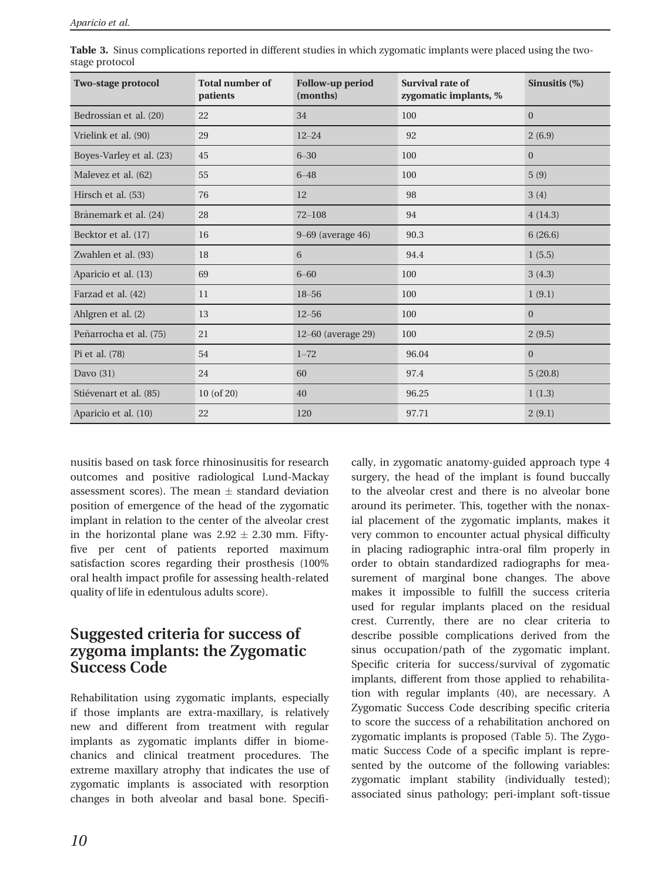| <b>Two-stage protocol</b> | <b>Total number of</b><br>patients | <b>Follow-up period</b><br>(months) | Survival rate of<br>zygomatic implants, % | Sinusitis (%)  |
|---------------------------|------------------------------------|-------------------------------------|-------------------------------------------|----------------|
| Bedrossian et al. (20)    | 22                                 | 34                                  | 100                                       | $\Omega$       |
| Vrielink et al. (90)      | 29                                 | $12 - 24$                           | 92                                        | 2(6.9)         |
| Boyes-Varley et al. (23)  | 45                                 | $6 - 30$                            | 100                                       | $\mathbf{0}$   |
| Malevez et al. (62)       | 55                                 | $6 - 48$                            | 100                                       | 5(9)           |
| Hirsch et al. (53)        | 76                                 | 12                                  | 98                                        | 3(4)           |
| Brånemark et al. (24)     | 28                                 | $72 - 108$                          | 94                                        | 4(14.3)        |
| Becktor et al. (17)       | 16                                 | 9–69 (average 46)                   | 90.3                                      | 6(26.6)        |
| Zwahlen et al. (93)       | 18                                 | 6                                   | 94.4                                      | 1(5.5)         |
| Aparicio et al. (13)      | 69                                 | $6 - 60$                            | 100                                       | 3(4.3)         |
| Farzad et al. (42)        | 11                                 | $18 - 56$                           | 100                                       | 1(9.1)         |
| Ahlgren et al. (2)        | 13                                 | $12 - 56$                           | 100                                       | $\overline{0}$ |
| Peñarrocha et al. (75)    | 21                                 | $12-60$ (average 29)                | 100                                       | 2(9.5)         |
| Pi et al. (78)            | 54                                 | $1 - 72$                            | 96.04                                     | $\Omega$       |
| Davo $(31)$               | 24                                 | 60                                  | 97.4                                      | 5(20.8)        |
| Stiévenart et al. (85)    | 10 (of 20)                         | 40                                  | 96.25                                     | 1(1.3)         |
| Aparicio et al. (10)      | 22                                 | 120                                 | 97.71                                     | 2(9.1)         |

Table 3. Sinus complications reported in different studies in which zygomatic implants were placed using the twostage protocol

nusitis based on task force rhinosinusitis for research outcomes and positive radiological Lund-Mackay assessment scores). The mean  $\pm$  standard deviation position of emergence of the head of the zygomatic implant in relation to the center of the alveolar crest in the horizontal plane was  $2.92 \pm 2.30$  mm. Fiftyfive per cent of patients reported maximum satisfaction scores regarding their prosthesis (100% oral health impact profile for assessing health-related quality of life in edentulous adults score).

## Suggested criteria for success of zygoma implants: the Zygomatic Success Code

Rehabilitation using zygomatic implants, especially if those implants are extra-maxillary, is relatively new and different from treatment with regular implants as zygomatic implants differ in biomechanics and clinical treatment procedures. The extreme maxillary atrophy that indicates the use of zygomatic implants is associated with resorption changes in both alveolar and basal bone. Specifically, in zygomatic anatomy-guided approach type 4 surgery, the head of the implant is found buccally to the alveolar crest and there is no alveolar bone around its perimeter. This, together with the nonaxial placement of the zygomatic implants, makes it very common to encounter actual physical difficulty in placing radiographic intra-oral film properly in order to obtain standardized radiographs for measurement of marginal bone changes. The above makes it impossible to fulfill the success criteria used for regular implants placed on the residual crest. Currently, there are no clear criteria to describe possible complications derived from the sinus occupation/path of the zygomatic implant. Specific criteria for success/survival of zygomatic implants, different from those applied to rehabilitation with regular implants (40), are necessary. A Zygomatic Success Code describing specific criteria to score the success of a rehabilitation anchored on zygomatic implants is proposed (Table 5). The Zygomatic Success Code of a specific implant is represented by the outcome of the following variables: zygomatic implant stability (individually tested); associated sinus pathology; peri-implant soft-tissue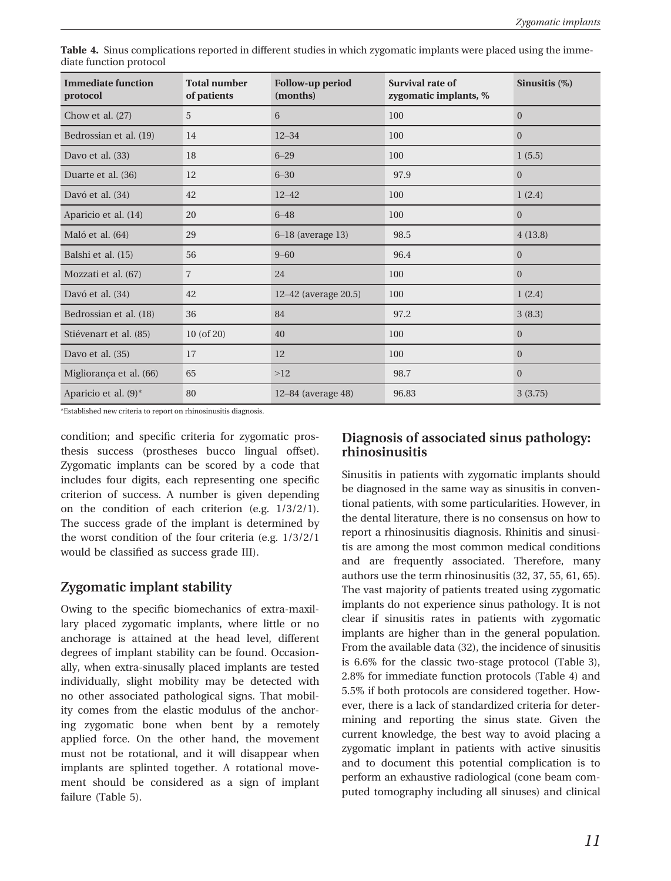| <b>Immediate function</b><br>protocol | <b>Total number</b><br>of patients | <b>Follow-up period</b><br>(months) | Survival rate of<br>zygomatic implants, % | Sinusitis (%) |
|---------------------------------------|------------------------------------|-------------------------------------|-------------------------------------------|---------------|
| Chow et al. (27)                      | 5                                  | 6                                   | 100                                       | $\Omega$      |
| Bedrossian et al. (19)                | 14                                 | $12 - 34$                           | 100                                       | $\Omega$      |
| Davo et al. (33)                      | 18                                 | $6 - 29$                            | 100                                       | 1(5.5)        |
| Duarte et al. (36)                    | 12                                 | $6 - 30$                            | 97.9                                      | $\Omega$      |
| Davó et al. (34)                      | 42                                 | $12 - 42$                           | 100                                       | 1(2.4)        |
| Aparicio et al. (14)                  | 20                                 | $6 - 48$                            | 100                                       | $\Omega$      |
| Maló et al. (64)                      | 29                                 | $6-18$ (average 13)                 | 98.5                                      | 4(13.8)       |
| Balshi et al. (15)                    | 56                                 | $9 - 60$                            | 96.4                                      | $\Omega$      |
| Mozzati et al. (67)                   | $\overline{7}$                     | 24                                  | 100                                       | $\Omega$      |
| Davó et al. (34)                      | 42                                 | 12-42 (average 20.5)                | 100                                       | 1(2.4)        |
| Bedrossian et al. (18)                | 36                                 | 84                                  | 97.2                                      | 3(8.3)        |
| Stiévenart et al. (85)                | $10($ of 20)                       | 40                                  | 100                                       | $\Omega$      |
| Davo et al. (35)                      | 17                                 | 12                                  | 100                                       | $\Omega$      |
| Migliorança et al. (66)               | 65                                 | >12                                 | 98.7                                      | $\Omega$      |
| Aparicio et al. $(9)^*$               | 80                                 | $12-84$ (average 48)                | 96.83                                     | 3(3.75)       |

Table 4. Sinus complications reported in different studies in which zygomatic implants were placed using the immediate function protocol

\*Established new criteria to report on rhinosinusitis diagnosis.

condition; and specific criteria for zygomatic prosthesis success (prostheses bucco lingual offset). Zygomatic implants can be scored by a code that includes four digits, each representing one specific criterion of success. A number is given depending on the condition of each criterion (e.g. 1/3/2/1). The success grade of the implant is determined by the worst condition of the four criteria (e.g. 1/3/2/1 would be classified as success grade III).

#### Zygomatic implant stability

Owing to the specific biomechanics of extra-maxillary placed zygomatic implants, where little or no anchorage is attained at the head level, different degrees of implant stability can be found. Occasionally, when extra-sinusally placed implants are tested individually, slight mobility may be detected with no other associated pathological signs. That mobility comes from the elastic modulus of the anchoring zygomatic bone when bent by a remotely applied force. On the other hand, the movement must not be rotational, and it will disappear when implants are splinted together. A rotational movement should be considered as a sign of implant failure (Table 5).

#### Diagnosis of associated sinus pathology: rhinosinusitis

Sinusitis in patients with zygomatic implants should be diagnosed in the same way as sinusitis in conventional patients, with some particularities. However, in the dental literature, there is no consensus on how to report a rhinosinusitis diagnosis. Rhinitis and sinusitis are among the most common medical conditions and are frequently associated. Therefore, many authors use the term rhinosinusitis (32, 37, 55, 61, 65). The vast majority of patients treated using zygomatic implants do not experience sinus pathology. It is not clear if sinusitis rates in patients with zygomatic implants are higher than in the general population. From the available data (32), the incidence of sinusitis is 6.6% for the classic two-stage protocol (Table 3), 2.8% for immediate function protocols (Table 4) and 5.5% if both protocols are considered together. However, there is a lack of standardized criteria for determining and reporting the sinus state. Given the current knowledge, the best way to avoid placing a zygomatic implant in patients with active sinusitis and to document this potential complication is to perform an exhaustive radiological (cone beam computed tomography including all sinuses) and clinical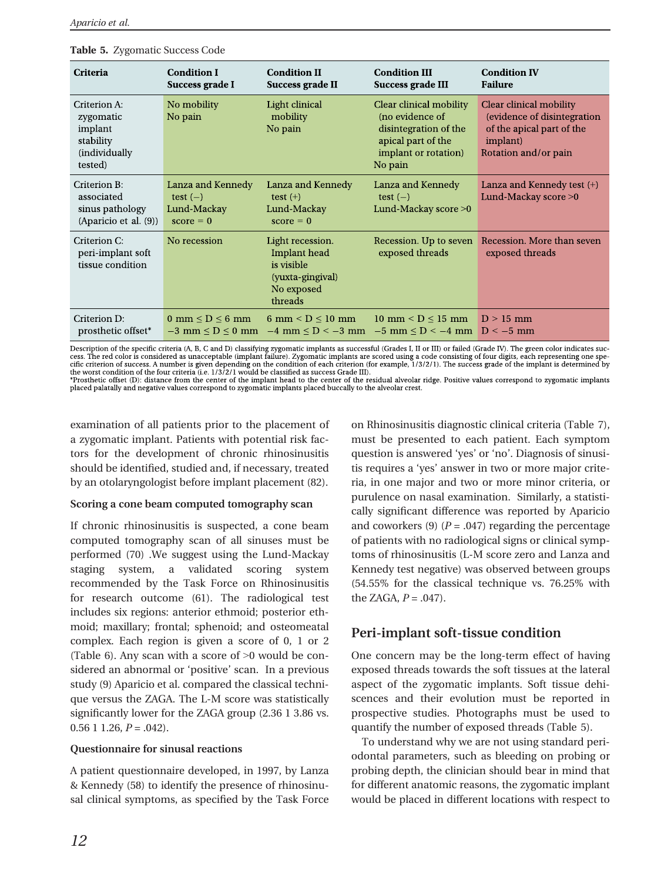| Criteria                                                                      | <b>Condition I</b><br>Success grade I                         | <b>Condition II</b><br><b>Success grade II</b>                                              | <b>Condition III</b><br><b>Success grade III</b>                                                                                            | <b>Condition IV</b><br><b>Failure</b>                                                                                   |
|-------------------------------------------------------------------------------|---------------------------------------------------------------|---------------------------------------------------------------------------------------------|---------------------------------------------------------------------------------------------------------------------------------------------|-------------------------------------------------------------------------------------------------------------------------|
| Criterion A:<br>zygomatic<br>implant<br>stability<br>(individually<br>tested) | No mobility<br>No pain                                        | Light clinical<br>mobility<br>No pain                                                       | Clear clinical mobility<br>(no evidence of<br>disintegration of the<br>apical part of the<br>implant or rotation)<br>No pain                | Clear clinical mobility<br>(evidence of disintegration<br>of the apical part of the<br>implant)<br>Rotation and/or pain |
| Criterion B:<br>associated<br>sinus pathology<br>(Aparicio et al. (9))        | Lanza and Kennedy<br>test $(-)$<br>Lund-Mackay<br>$score = 0$ | Lanza and Kennedy<br>test $(+)$<br>Lund-Mackay<br>$score = 0$                               | Lanza and Kennedy<br>test $(-)$<br>Lund-Mackay score $>0$                                                                                   | Lanza and Kennedy test (+)<br>Lund-Mackay score >0                                                                      |
| Criterion C:<br>peri-implant soft<br>tissue condition                         | No recession                                                  | Light recession.<br>Implant head<br>is visible<br>(yuxta-gingival)<br>No exposed<br>threads | Recession. Up to seven<br>exposed threads                                                                                                   | Recession. More than seven<br>exposed threads                                                                           |
| Criterion D:<br>prosthetic offset*                                            | $0 \text{ mm} \leq D \leq 6 \text{ mm}$                       | 6 mm $\leq D \leq 10$ mm                                                                    | $10 \text{ mm} < D \leq 15 \text{ mm}$<br>$-3$ mm $\leq D \leq 0$ mm $-4$ mm $\leq D \leq -3$ mm $-5$ mm $\leq D \leq -4$ mm $D \leq -5$ mm | $D > 15$ mm                                                                                                             |

#### Table 5. Zygomatic Success Code

Description of the specific criteria (A, B, C and D) classifying zygomatic implants as successful (Grades I, II or III) or failed (Grade IV). The green color indicates success. The red color is considered as unacceptable ( the worst condition of the four criteria (i.e.  $1/3/2/1$  would be classified as success Grade III).

\*Prosthetic offset (D): distance from the center of the implant head to the center of the residual alveolar ridge. Positive values correspond to zygomatic implants placed palatally and negative values correspond to zygomatic implants placed buccally to the alveolar crest.

examination of all patients prior to the placement of a zygomatic implant. Patients with potential risk factors for the development of chronic rhinosinusitis should be identified, studied and, if necessary, treated by an otolaryngologist before implant placement (82).

#### Scoring a cone beam computed tomography scan

If chronic rhinosinusitis is suspected, a cone beam computed tomography scan of all sinuses must be performed (70) .We suggest using the Lund-Mackay staging system, a validated scoring system recommended by the Task Force on Rhinosinusitis for research outcome (61). The radiological test includes six regions: anterior ethmoid; posterior ethmoid; maxillary; frontal; sphenoid; and osteomeatal complex. Each region is given a score of 0, 1 or 2 (Table 6). Any scan with a score of >0 would be considered an abnormal or 'positive' scan. In a previous study (9) Aparicio et al. compared the classical technique versus the ZAGA. The L-M score was statistically significantly lower for the ZAGA group (2.36 1 3.86 vs.  $0.56$  1 1.26,  $P = .042$ ).

#### Questionnaire for sinusal reactions

A patient questionnaire developed, in 1997, by Lanza & Kennedy (58) to identify the presence of rhinosinusal clinical symptoms, as specified by the Task Force

on Rhinosinusitis diagnostic clinical criteria (Table 7), must be presented to each patient. Each symptom question is answered 'yes' or 'no'. Diagnosis of sinusitis requires a 'yes' answer in two or more major criteria, in one major and two or more minor criteria, or purulence on nasal examination. Similarly, a statistically significant difference was reported by Aparicio and coworkers (9) ( $P = .047$ ) regarding the percentage of patients with no radiological signs or clinical symptoms of rhinosinusitis (L-M score zero and Lanza and Kennedy test negative) was observed between groups (54.55% for the classical technique vs. 76.25% with the ZAGA,  $P = .047$ ).

#### Peri-implant soft-tissue condition

One concern may be the long-term effect of having exposed threads towards the soft tissues at the lateral aspect of the zygomatic implants. Soft tissue dehiscences and their evolution must be reported in prospective studies. Photographs must be used to quantify the number of exposed threads (Table 5).

To understand why we are not using standard periodontal parameters, such as bleeding on probing or probing depth, the clinician should bear in mind that for different anatomic reasons, the zygomatic implant would be placed in different locations with respect to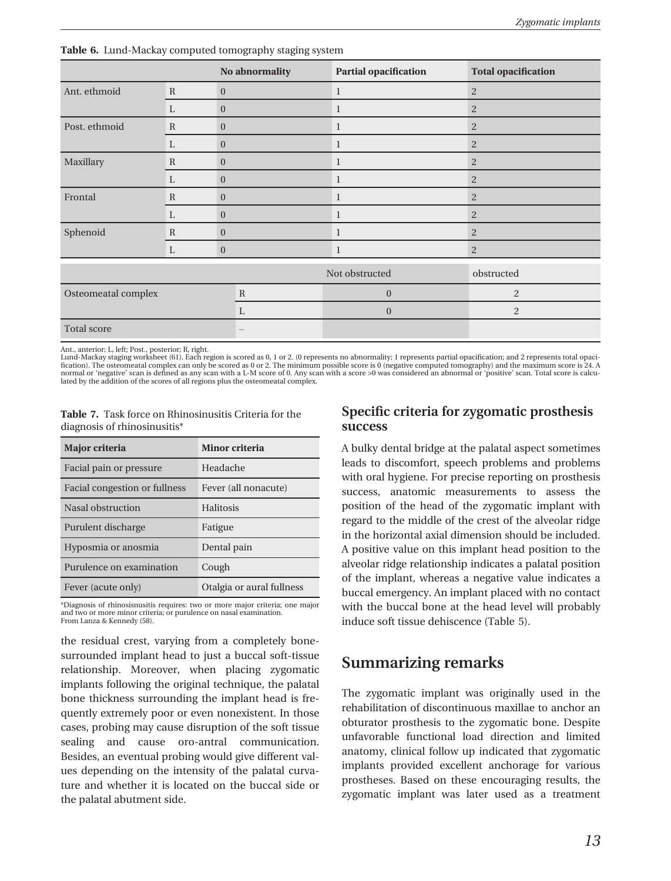|                        |                              |              | No abnormality           | <b>Partial opacification</b> | <b>Total opacification</b> |
|------------------------|------------------------------|--------------|--------------------------|------------------------------|----------------------------|
| Ant. ethmoid           | $\mathbf R$                  | $\mathbf{0}$ |                          | $\mathbf{1}$                 | $\overline{2}$             |
|                        | L                            | $\mathbf{0}$ |                          | $\mathbf{1}$                 | $\overline{2}$             |
| Post. ethmoid          | $\mathbf R$                  | $\mathbf{0}$ |                          | $\mathbf{1}$                 | $\overline{2}$             |
|                        | L                            | $\mathbf{0}$ |                          | $\mathbf{1}$                 | $\overline{2}$             |
| Maxillary              | $\mathbb{R}$                 | $\mathbf{0}$ |                          | $\mathbf{1}$                 | $\overline{2}$             |
|                        | L                            | $\mathbf{0}$ |                          | $\mathbf{1}$                 | $\overline{2}$             |
| Frontal<br>$\mathbf R$ |                              | $\mathbf{0}$ |                          | $\mathbf{1}$                 | $\overline{2}$             |
|                        | L                            | $\mathbf{0}$ |                          | $\mathbf{1}$                 | $\overline{2}$             |
| Sphenoid               | $\mathbb{R}$<br>$\mathbf{0}$ |              |                          | $\mathbf{1}$                 | $\overline{2}$             |
|                        | L                            | $\mathbf{0}$ |                          | $\mathbf{1}$                 | $\overline{2}$             |
|                        |                              |              |                          | Not obstructed               | obstructed                 |
| Osteomeatal complex    |                              | $\mathbf R$  | $\boldsymbol{0}$         | 2                            |                            |
|                        |                              |              | L                        | $\mathbf{0}$                 | 2                          |
| Total score            |                              |              | $\overline{\phantom{m}}$ |                              |                            |

Table 6. Lund-Mackay computed tomography staging system

Ant., anterior; L, left; Post., posterior; R, right.

Lund-Mackay staging worksheet (61). Each region is scored as 0, 1 or 2. (0 represents no abnormality; 1 represents partial opacification; and 2 represents total opacification). The osteomeatal complex can only be scored as 0 or 2. The minimum possible score is 0 (negative computed tomography) and the maximum score is 24. A<br>normal or 'negative' scan is defined as any scan with a L-M sco lated by the addition of the scores of all regions plus the osteomeatal complex.

Table 7. Task force on Rhinosinusitis Criteria for the diagnosis of rhinosinusitis\*

| Major criteria                       | Minor criteria            |
|--------------------------------------|---------------------------|
| Facial pain or pressure              | Headache                  |
| <b>Facial congestion or fullness</b> | Fever (all nonacute)      |
| Nasal obstruction                    | <b>Halitosis</b>          |
| Purulent discharge                   | Fatigue                   |
| Hyposmia or anosmia                  | Dental pain               |
| Purulence on examination             | Cough                     |
| Fever (acute only)                   | Otalgia or aural fullness |

\*Diagnosis of rhinosisnusitis requires: two or more major criteria; one major and two or more minor criteria; or purulence on nasal examination. From Lanza & Kennedy (58).

the residual crest, varying from a completely bonesurrounded implant head to just a buccal soft-tissue relationship. Moreover, when placing zygomatic implants following the original technique, the palatal bone thickness surrounding the implant head is frequently extremely poor or even nonexistent. In those cases, probing may cause disruption of the soft tissue sealing and cause oro-antral communication. Besides, an eventual probing would give different values depending on the intensity of the palatal curvature and whether it is located on the buccal side or the palatal abutment side.

#### Specific criteria for zygomatic prosthesis success

A bulky dental bridge at the palatal aspect sometimes leads to discomfort, speech problems and problems with oral hygiene. For precise reporting on prosthesis success, anatomic measurements to assess the position of the head of the zygomatic implant with regard to the middle of the crest of the alveolar ridge in the horizontal axial dimension should be included. A positive value on this implant head position to the alveolar ridge relationship indicates a palatal position of the implant, whereas a negative value indicates a buccal emergency. An implant placed with no contact with the buccal bone at the head level will probably induce soft tissue dehiscence (Table 5).

## Summarizing remarks

The zygomatic implant was originally used in the rehabilitation of discontinuous maxillae to anchor an obturator prosthesis to the zygomatic bone. Despite unfavorable functional load direction and limited anatomy, clinical follow up indicated that zygomatic implants provided excellent anchorage for various prostheses. Based on these encouraging results, the zygomatic implant was later used as a treatment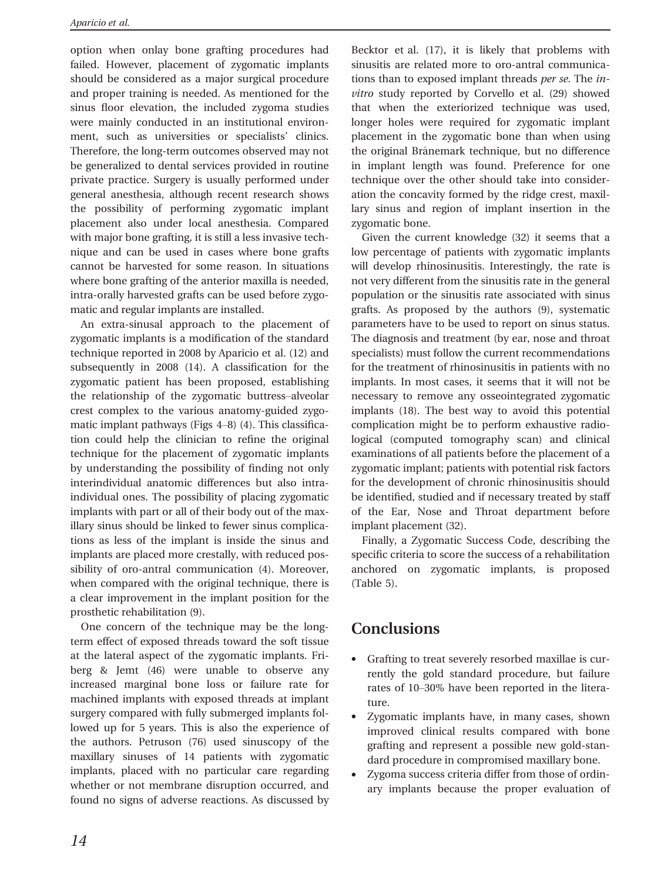option when onlay bone grafting procedures had failed. However, placement of zygomatic implants should be considered as a major surgical procedure and proper training is needed. As mentioned for the sinus floor elevation, the included zygoma studies were mainly conducted in an institutional environment, such as universities or specialists' clinics. Therefore, the long-term outcomes observed may not be generalized to dental services provided in routine private practice. Surgery is usually performed under general anesthesia, although recent research shows the possibility of performing zygomatic implant placement also under local anesthesia. Compared with major bone grafting, it is still a less invasive technique and can be used in cases where bone grafts cannot be harvested for some reason. In situations where bone grafting of the anterior maxilla is needed, intra-orally harvested grafts can be used before zygomatic and regular implants are installed.

An extra-sinusal approach to the placement of zygomatic implants is a modification of the standard technique reported in 2008 by Aparicio et al. (12) and subsequently in 2008 (14). A classification for the zygomatic patient has been proposed, establishing the relationship of the zygomatic buttress–alveolar crest complex to the various anatomy-guided zygomatic implant pathways (Figs 4–8) (4). This classification could help the clinician to refine the original technique for the placement of zygomatic implants by understanding the possibility of finding not only interindividual anatomic differences but also intraindividual ones. The possibility of placing zygomatic implants with part or all of their body out of the maxillary sinus should be linked to fewer sinus complications as less of the implant is inside the sinus and implants are placed more crestally, with reduced possibility of oro-antral communication (4). Moreover, when compared with the original technique, there is a clear improvement in the implant position for the prosthetic rehabilitation (9).

One concern of the technique may be the longterm effect of exposed threads toward the soft tissue at the lateral aspect of the zygomatic implants. Friberg & Jemt (46) were unable to observe any increased marginal bone loss or failure rate for machined implants with exposed threads at implant surgery compared with fully submerged implants followed up for 5 years. This is also the experience of the authors. Petruson (76) used sinuscopy of the maxillary sinuses of 14 patients with zygomatic implants, placed with no particular care regarding whether or not membrane disruption occurred, and found no signs of adverse reactions. As discussed by Becktor et al. (17), it is likely that problems with sinusitis are related more to oro-antral communications than to exposed implant threads per se. The invitro study reported by Corvello et al. (29) showed that when the exteriorized technique was used, longer holes were required for zygomatic implant placement in the zygomatic bone than when using the original Branemark technique, but no difference in implant length was found. Preference for one technique over the other should take into consideration the concavity formed by the ridge crest, maxillary sinus and region of implant insertion in the zygomatic bone.

Given the current knowledge (32) it seems that a low percentage of patients with zygomatic implants will develop rhinosinusitis. Interestingly, the rate is not very different from the sinusitis rate in the general population or the sinusitis rate associated with sinus grafts. As proposed by the authors (9), systematic parameters have to be used to report on sinus status. The diagnosis and treatment (by ear, nose and throat specialists) must follow the current recommendations for the treatment of rhinosinusitis in patients with no implants. In most cases, it seems that it will not be necessary to remove any osseointegrated zygomatic implants (18). The best way to avoid this potential complication might be to perform exhaustive radiological (computed tomography scan) and clinical examinations of all patients before the placement of a zygomatic implant; patients with potential risk factors for the development of chronic rhinosinusitis should be identified, studied and if necessary treated by staff of the Ear, Nose and Throat department before implant placement (32).

Finally, a Zygomatic Success Code, describing the specific criteria to score the success of a rehabilitation anchored on zygomatic implants, is proposed (Table 5).

## **Conclusions**

- Grafting to treat severely resorbed maxillae is currently the gold standard procedure, but failure rates of 10–30% have been reported in the literature.
- Zygomatic implants have, in many cases, shown improved clinical results compared with bone grafting and represent a possible new gold-standard procedure in compromised maxillary bone.
- Zygoma success criteria differ from those of ordinary implants because the proper evaluation of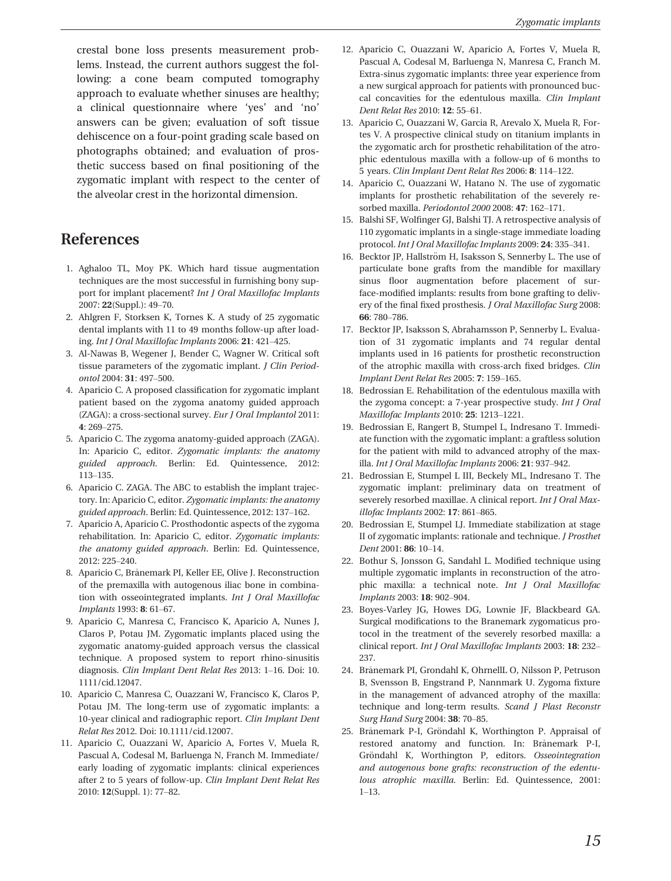crestal bone loss presents measurement problems. Instead, the current authors suggest the following: a cone beam computed tomography approach to evaluate whether sinuses are healthy; a clinical questionnaire where 'yes' and 'no' answers can be given; evaluation of soft tissue dehiscence on a four-point grading scale based on photographs obtained; and evaluation of prosthetic success based on final positioning of the zygomatic implant with respect to the center of the alveolar crest in the horizontal dimension.

## References

- 1. Aghaloo TL, Moy PK. Which hard tissue augmentation techniques are the most successful in furnishing bony support for implant placement? Int J Oral Maxillofac Implants 2007: 22(Suppl.): 49–70.
- 2. Ahlgren F, Storksen K, Tornes K. A study of 25 zygomatic dental implants with 11 to 49 months follow-up after loading. Int J Oral Maxillofac Implants 2006: 21: 421–425.
- 3. Al-Nawas B, Wegener J, Bender C, Wagner W. Critical soft tissue parameters of the zygomatic implant. J Clin Periodontol 2004: 31: 497–500.
- 4. Aparicio C. A proposed classification for zygomatic implant patient based on the zygoma anatomy guided approach (ZAGA): a cross-sectional survey. Eur J Oral Implantol 2011: 4: 269–275.
- 5. Aparicio C. The zygoma anatomy-guided approach (ZAGA). In: Aparicio C, editor. Zygomatic implants: the anatomy guided approach. Berlin: Ed. Quintessence, 2012: 113–135.
- 6. Aparicio C. ZAGA. The ABC to establish the implant trajectory. In: Aparicio C, editor. Zygomatic implants: the anatomy guided approach. Berlin: Ed. Quintessence, 2012: 137–162.
- 7. Aparicio A, Aparicio C. Prosthodontic aspects of the zygoma rehabilitation. In: Aparicio C, editor. Zygomatic implants: the anatomy guided approach. Berlin: Ed. Quintessence, 2012: 225–240.
- 8. Aparicio C, Brånemark PI, Keller EE, Olive J. Reconstruction of the premaxilla with autogenous iliac bone in combination with osseointegrated implants. Int J Oral Maxillofac Implants 1993: 8: 61–67.
- 9. Aparicio C, Manresa C, Francisco K, Aparicio A, Nunes J, Claros P, Potau JM. Zygomatic implants placed using the zygomatic anatomy-guided approach versus the classical technique. A proposed system to report rhino-sinusitis diagnosis. Clin Implant Dent Relat Res 2013: 1–16. Doi: 10. 1111/cid.12047.
- 10. Aparicio C, Manresa C, Ouazzani W, Francisco K, Claros P, Potau JM. The long-term use of zygomatic implants: a 10-year clinical and radiographic report. Clin Implant Dent Relat Res 2012. Doi: 10.1111/cid.12007.
- 11. Aparicio C, Ouazzani W, Aparicio A, Fortes V, Muela R, Pascual A, Codesal M, Barluenga N, Franch M. Immediate/ early loading of zygomatic implants: clinical experiences after 2 to 5 years of follow-up. Clin Implant Dent Relat Res 2010: 12(Suppl. 1): 77–82.
- 12. Aparicio C, Ouazzani W, Aparicio A, Fortes V, Muela R, Pascual A, Codesal M, Barluenga N, Manresa C, Franch M. Extra-sinus zygomatic implants: three year experience from a new surgical approach for patients with pronounced buccal concavities for the edentulous maxilla. Clin Implant Dent Relat Res 2010: 12: 55–61.
- 13. Aparicio C, Ouazzani W, Garcia R, Arevalo X, Muela R, Fortes V. A prospective clinical study on titanium implants in the zygomatic arch for prosthetic rehabilitation of the atrophic edentulous maxilla with a follow-up of 6 months to 5 years. Clin Implant Dent Relat Res 2006: 8: 114–122.
- 14. Aparicio C, Ouazzani W, Hatano N. The use of zygomatic implants for prosthetic rehabilitation of the severely resorbed maxilla. Periodontol 2000 2008: 47: 162–171.
- 15. Balshi SF, Wolfinger GJ, Balshi TJ. A retrospective analysis of 110 zygomatic implants in a single-stage immediate loading protocol. Int J Oral Maxillofac Implants 2009: 24: 335–341.
- 16. Becktor JP, Hallström H, Isaksson S, Sennerby L. The use of particulate bone grafts from the mandible for maxillary sinus floor augmentation before placement of surface-modified implants: results from bone grafting to delivery of the final fixed prosthesis. J Oral Maxillofac Surg 2008: 66: 780–786.
- 17. Becktor JP, Isaksson S, Abrahamsson P, Sennerby L. Evaluation of 31 zygomatic implants and 74 regular dental implants used in 16 patients for prosthetic reconstruction of the atrophic maxilla with cross-arch fixed bridges. Clin Implant Dent Relat Res 2005: 7: 159–165.
- 18. Bedrossian E. Rehabilitation of the edentulous maxilla with the zygoma concept: a 7-year prospective study. Int J Oral Maxillofac Implants 2010: 25: 1213–1221.
- 19. Bedrossian E, Rangert B, Stumpel L, Indresano T. Immediate function with the zygomatic implant: a graftless solution for the patient with mild to advanced atrophy of the maxilla. Int J Oral Maxillofac Implants 2006: 21: 937–942.
- 21. Bedrossian E, Stumpel L III, Beckely ML, Indresano T. The zygomatic implant: preliminary data on treatment of severely resorbed maxillae. A clinical report. Int J Oral Maxillofac Implants 2002: 17: 861–865.
- 20. Bedrossian E, Stumpel LJ. Immediate stabilization at stage II of zygomatic implants: rationale and technique. J Prosthet Dent 2001: 86: 10–14.
- 22. Bothur S, Jonsson G, Sandahl L. Modified technique using multiple zygomatic implants in reconstruction of the atrophic maxilla: a technical note. Int J Oral Maxillofac Implants 2003: 18: 902–904.
- 23. Boyes-Varley JG, Howes DG, Lownie JF, Blackbeard GA. Surgical modifications to the Branemark zygomaticus protocol in the treatment of the severely resorbed maxilla: a clinical report. Int J Oral Maxillofac Implants 2003: 18: 232– 237.
- 24. Brånemark PI, Grondahl K, OhrnellL O, Nilsson P, Petruson B, Svensson B, Engstrand P, Nannmark U. Zygoma fixture in the management of advanced atrophy of the maxilla: technique and long-term results. Scand J Plast Reconstr Surg Hand Surg 2004: 38: 70–85.
- 25. Brånemark P-I, Gröndahl K, Worthington P. Appraisal of restored anatomy and function. In: Brånemark P-I, Gröndahl K, Worthington P, editors. Osseointegration and autogenous bone grafts: reconstruction of the edentulous atrophic maxilla. Berlin: Ed. Quintessence, 2001: 1–13.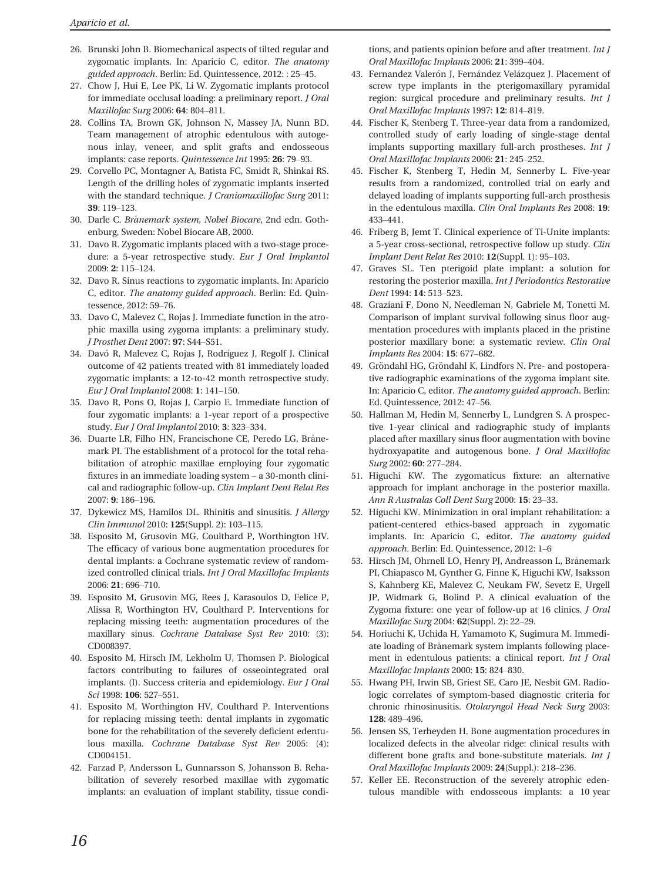- 26. Brunski John B. Biomechanical aspects of tilted regular and zygomatic implants. In: Aparicio C, editor. The anatomy guided approach. Berlin: Ed. Quintessence, 2012: : 25–45.
- 27. Chow J, Hui E, Lee PK, Li W. Zygomatic implants protocol for immediate occlusal loading: a preliminary report. J Oral Maxillofac Surg 2006: 64: 804–811.
- 28. Collins TA, Brown GK, Johnson N, Massey JA, Nunn BD. Team management of atrophic edentulous with autogenous inlay, veneer, and split grafts and endosseous implants: case reports. Quintessence Int 1995: 26: 79–93.
- 29. Corvello PC, Montagner A, Batista FC, Smidt R, Shinkai RS. Length of the drilling holes of zygomatic implants inserted with the standard technique. *J Craniomaxillofac Surg 2011*: 39: 119–123.
- 30. Darle C. Brånemark system, Nobel Biocare, 2nd edn. Gothenburg, Sweden: Nobel Biocare AB, 2000.
- 31. Davo R. Zygomatic implants placed with a two-stage procedure: a 5-year retrospective study. Eur J Oral Implantol 2009: 2: 115–124.
- 32. Davo R. Sinus reactions to zygomatic implants. In: Aparicio C, editor. The anatomy guided approach. Berlin: Ed. Quintessence, 2012: 59–76.
- 33. Davo C, Malevez C, Rojas J. Immediate function in the atrophic maxilla using zygoma implants: a preliminary study. J Prosthet Dent 2007: 97: S44–S51.
- 34. Davó R, Malevez C, Rojas J, Rodríguez J, Regolf J. Clinical outcome of 42 patients treated with 81 immediately loaded zygomatic implants: a 12-to-42 month retrospective study. Eur J Oral Implantol 2008: 1: 141–150.
- 35. Davo R, Pons O, Rojas J, Carpio E. Immediate function of four zygomatic implants: a 1-year report of a prospective study. Eur J Oral Implantol 2010: 3: 323–334.
- 36. Duarte LR, Filho HN, Francischone CE, Peredo LG, Branemark PI. The establishment of a protocol for the total rehabilitation of atrophic maxillae employing four zygomatic fixtures in an immediate loading system – a 30-month clinical and radiographic follow-up. Clin Implant Dent Relat Res 2007: 9: 186–196.
- 37. Dykewicz MS, Hamilos DL. Rhinitis and sinusitis. J Allergy Clin Immunol 2010: 125(Suppl. 2): 103–115.
- 38. Esposito M, Grusovin MG, Coulthard P, Worthington HV. The efficacy of various bone augmentation procedures for dental implants: a Cochrane systematic review of randomized controlled clinical trials. Int J Oral Maxillofac Implants 2006: 21: 696–710.
- 39. Esposito M, Grusovin MG, Rees J, Karasoulos D, Felice P, Alissa R, Worthington HV, Coulthard P. Interventions for replacing missing teeth: augmentation procedures of the maxillary sinus. Cochrane Database Syst Rev 2010: (3): CD008397.
- 40. Esposito M, Hirsch JM, Lekholm U, Thomsen P. Biological factors contributing to failures of osseointegrated oral implants. (I). Success criteria and epidemiology. Eur J Oral Sci 1998: 106: 527–551.
- 41. Esposito M, Worthington HV, Coulthard P. Interventions for replacing missing teeth: dental implants in zygomatic bone for the rehabilitation of the severely deficient edentulous maxilla. Cochrane Database Syst Rev 2005: (4): CD004151.
- 42. Farzad P, Andersson L, Gunnarsson S, Johansson B. Rehabilitation of severely resorbed maxillae with zygomatic implants: an evaluation of implant stability, tissue condi-

tions, and patients opinion before and after treatment. Int J Oral Maxillofac Implants 2006: 21: 399–404.

- 43. Fernandez Valerón J, Fernández Velázquez J. Placement of screw type implants in the pterigomaxillary pyramidal region: surgical procedure and preliminary results. Int J Oral Maxillofac Implants 1997: 12: 814–819.
- 44. Fischer K, Stenberg T. Three-year data from a randomized, controlled study of early loading of single-stage dental implants supporting maxillary full-arch prostheses. Int J Oral Maxillofac Implants 2006: 21: 245–252.
- 45. Fischer K, Stenberg T, Hedin M, Sennerby L. Five-year results from a randomized, controlled trial on early and delayed loading of implants supporting full-arch prosthesis in the edentulous maxilla. Clin Oral Implants Res 2008: 19: 433–441.
- 46. Friberg B, Jemt T. Clinical experience of Ti-Unite implants: a 5-year cross-sectional, retrospective follow up study. Clin Implant Dent Relat Res 2010: 12(Suppl. 1): 95–103.
- 47. Graves SL. Ten pterigoid plate implant: a solution for restoring the posterior maxilla. Int J Periodontics Restorative Dent 1994: 14: 513–523.
- 48. Graziani F, Dono N, Needleman N, Gabriele M, Tonetti M. Comparison of implant survival following sinus floor augmentation procedures with implants placed in the pristine posterior maxillary bone: a systematic review. Clin Oral Implants Res 2004: 15: 677–682.
- 49. Gröndahl HG, Gröndahl K, Lindfors N. Pre- and postoperative radiographic examinations of the zygoma implant site. In: Aparicio C, editor. The anatomy guided approach. Berlin: Ed. Quintessence, 2012: 47–56.
- 50. Hallman M, Hedin M, Sennerby L, Lundgren S. A prospective 1-year clinical and radiographic study of implants placed after maxillary sinus floor augmentation with bovine hydroxyapatite and autogenous bone. J Oral Maxillofac Surg 2002: 60: 277–284.
- 51. Higuchi KW. The zygomaticus fixture: an alternative approach for implant anchorage in the posterior maxilla. Ann R Australas Coll Dent Surg 2000: 15: 23–33.
- 52. Higuchi KW. Minimization in oral implant rehabilitation: a patient-centered ethics-based approach in zygomatic implants. In: Aparicio C, editor. The anatomy guided approach. Berlin: Ed. Quintessence, 2012: 1–6
- 53. Hirsch JM, Ohrnell LO, Henry PJ, Andreasson L, Brånemark PI, Chiapasco M, Gynther G, Finne K, Higuchi KW, Isaksson S, Kahnberg KE, Malevez C, Neukam FW, Sevetz E, Urgell JP, Widmark G, Bolind P. A clinical evaluation of the Zygoma fixture: one year of follow-up at 16 clinics. J Oral Maxillofac Surg 2004: 62(Suppl. 2): 22–29.
- 54. Horiuchi K, Uchida H, Yamamoto K, Sugimura M. Immediate loading of Brånemark system implants following placement in edentulous patients: a clinical report. Int J Oral Maxillofac Implants 2000: 15: 824–830.
- 55. Hwang PH, Irwin SB, Griest SE, Caro JE, Nesbit GM. Radiologic correlates of symptom-based diagnostic criteria for chronic rhinosinusitis. Otolaryngol Head Neck Surg 2003: 128: 489–496.
- 56. Jensen SS, Terheyden H. Bone augmentation procedures in localized defects in the alveolar ridge: clinical results with different bone grafts and bone-substitute materials. Int J Oral Maxillofac Implants 2009: 24(Suppl.): 218–236.
- 57. Keller EE. Reconstruction of the severely atrophic edentulous mandible with endosseous implants: a 10 year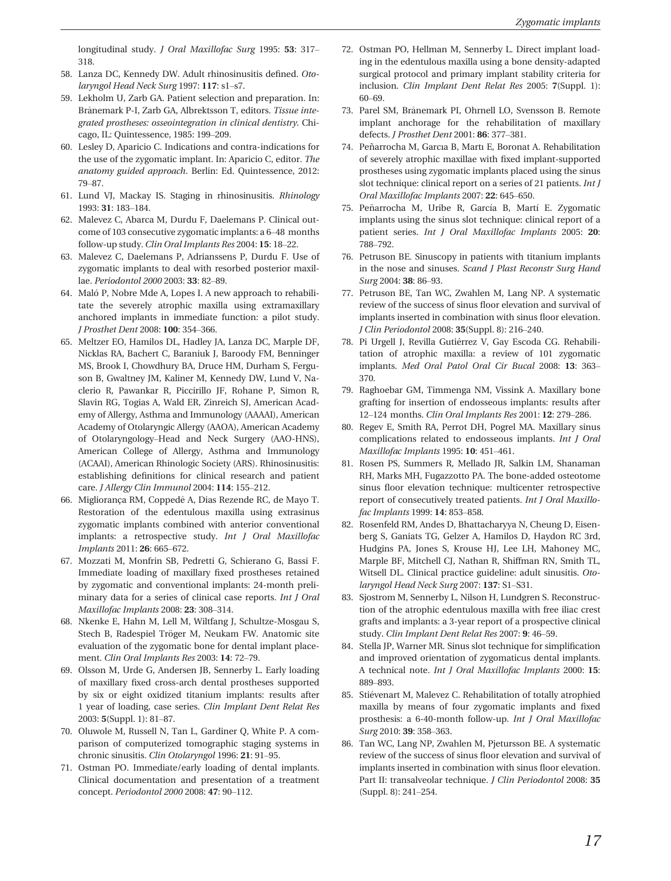longitudinal study. J Oral Maxillofac Surg 1995: 53: 317– 318.

- 58. Lanza DC, Kennedy DW. Adult rhinosinusitis defined. Otolaryngol Head Neck Surg 1997: 117: s1–s7.
- 59. Lekholm U, Zarb GA. Patient selection and preparation. In: Brånemark P-I, Zarb GA, Albrektsson T, editors. Tissue integrated prostheses: osseointegration in clinical dentistry. Chicago, IL: Quintessence, 1985: 199–209.
- 60. Lesley D, Aparicio C. Indications and contra-indications for the use of the zygomatic implant. In: Aparicio C, editor. The anatomy guided approach. Berlin: Ed. Quintessence, 2012: 79–87.
- 61. Lund VJ, Mackay IS. Staging in rhinosinusitis. Rhinology 1993: 31: 183–184.
- 62. Malevez C, Abarca M, Durdu F, Daelemans P. Clinical outcome of 103 consecutive zygomatic implants: a 6–48 months follow-up study. Clin Oral Implants Res 2004: 15: 18–22.
- 63. Malevez C, Daelemans P, Adrianssens P, Durdu F. Use of zygomatic implants to deal with resorbed posterior maxillae. Periodontol 2000 2003: 33: 82–89.
- 64. Malo P, Nobre Mde A, Lopes I. A new approach to rehabili tate the severely atrophic maxilla using extramaxillary anchored implants in immediate function: a pilot study. J Prosthet Dent 2008: 100: 354–366.
- 65. Meltzer EO, Hamilos DL, Hadley JA, Lanza DC, Marple DF, Nicklas RA, Bachert C, Baraniuk J, Baroody FM, Benninger MS, Brook I, Chowdhury BA, Druce HM, Durham S, Ferguson B, Gwaltney JM, Kaliner M, Kennedy DW, Lund V, Naclerio R, Pawankar R, Piccirillo JF, Rohane P, Simon R, Slavin RG, Togias A, Wald ER, Zinreich SJ, American Academy of Allergy, Asthma and Immunology (AAAAI), American Academy of Otolaryngic Allergy (AAOA), American Academy of Otolaryngology–Head and Neck Surgery (AAO-HNS), American College of Allergy, Asthma and Immunology (ACAAI), American Rhinologic Society (ARS). Rhinosinusitis: establishing definitions for clinical research and patient care. J Allergy Clin Immunol 2004: 114: 155–212.
- 66. Miglioranca RM, Coppede A, Dias Rezende RC, de Mayo T. ^ Restoration of the edentulous maxilla using extrasinus zygomatic implants combined with anterior conventional implants: a retrospective study. Int J Oral Maxillofac Implants 2011: 26: 665–672.
- 67. Mozzati M, Monfrin SB, Pedretti G, Schierano G, Bassi F. Immediate loading of maxillary fixed prostheses retained by zygomatic and conventional implants: 24-month preliminary data for a series of clinical case reports. Int J Oral Maxillofac Implants 2008: 23: 308–314.
- 68. Nkenke E, Hahn M, Lell M, Wiltfang J, Schultze-Mosgau S, Stech B, Radespiel Tröger M, Neukam FW. Anatomic site evaluation of the zygomatic bone for dental implant placement. Clin Oral Implants Res 2003: 14: 72–79.
- 69. Olsson M, Urde G, Andersen JB, Sennerby L. Early loading of maxillary fixed cross-arch dental prostheses supported by six or eight oxidized titanium implants: results after 1 year of loading, case series. Clin Implant Dent Relat Res 2003: 5(Suppl. 1): 81–87.
- 70. Oluwole M, Russell N, Tan L, Gardiner Q, White P. A comparison of computerized tomographic staging systems in chronic sinusitis. Clin Otolaryngol 1996: 21: 91–95.
- 71. Ostman PO. Immediate/early loading of dental implants. Clinical documentation and presentation of a treatment concept. Periodontol 2000 2008: 47: 90–112.
- 72. Ostman PO, Hellman M, Sennerby L. Direct implant loading in the edentulous maxilla using a bone density-adapted surgical protocol and primary implant stability criteria for inclusion. Clin Implant Dent Relat Res 2005: 7(Suppl. 1): 60–69.
- 73. Parel SM, Brånemark PI, Ohrnell LO, Svensson B. Remote implant anchorage for the rehabilitation of maxillary defects. J Prosthet Dent 2001: 86: 377–381.
- 74. Peñ arrocha M, Garcıa B, Martı E, Boronat A. Rehabilitation of severely atrophic maxillae with fixed implant-supported prostheses using zygomatic implants placed using the sinus slot technique: clinical report on a series of 21 patients. Int J Oral Maxillofac Implants 2007: 22: 645–650.
- 75. Peñarrocha M, Uribe R, García B, Martí E. Zygomatic implants using the sinus slot technique: clinical report of a patient series. Int J Oral Maxillofac Implants 2005: 20: 788–792.
- 76. Petruson BE. Sinuscopy in patients with titanium implants in the nose and sinuses. Scand J Plast Reconstr Surg Hand Surg 2004: 38: 86–93.
- 77. Petruson BE, Tan WC, Zwahlen M, Lang NP. A systematic review of the success of sinus floor elevation and survival of implants inserted in combination with sinus floor elevation. J Clin Periodontol 2008: 35(Suppl. 8): 216–240.
- 78. Pi Urgell J, Revilla Gutiérrez V, Gay Escoda CG. Rehabilitation of atrophic maxilla: a review of 101 zygomatic implants. Med Oral Patol Oral Cir Bucal 2008: 13: 363– 370.
- 79. Raghoebar GM, Timmenga NM, Vissink A. Maxillary bone grafting for insertion of endosseous implants: results after 12–124 months. Clin Oral Implants Res 2001: 12: 279–286.
- 80. Regev E, Smith RA, Perrot DH, Pogrel MA. Maxillary sinus complications related to endosseous implants. Int J Oral Maxillofac Implants 1995: 10: 451–461.
- 81. Rosen PS, Summers R, Mellado JR, Salkin LM, Shanaman RH, Marks MH, Fugazzotto PA. The bone-added osteotome sinus floor elevation technique: multicenter retrospective report of consecutively treated patients. Int J Oral Maxillofac Implants 1999: 14: 853–858.
- 82. Rosenfeld RM, Andes D, Bhattacharyya N, Cheung D, Eisenberg S, Ganiats TG, Gelzer A, Hamilos D, Haydon RC 3rd, Hudgins PA, Jones S, Krouse HJ, Lee LH, Mahoney MC, Marple BF, Mitchell CJ, Nathan R, Shiffman RN, Smith TL, Witsell DL. Clinical practice guideline: adult sinusitis. Otolaryngol Head Neck Surg 2007: 137: S1–S31.
- 83. Sjostrom M, Sennerby L, Nilson H, Lundgren S. Reconstruction of the atrophic edentulous maxilla with free iliac crest grafts and implants: a 3-year report of a prospective clinical study. Clin Implant Dent Relat Res 2007: 9: 46–59.
- 84. Stella JP, Warner MR. Sinus slot technique for simplification and improved orientation of zygomaticus dental implants. A technical note. Int J Oral Maxillofac Implants 2000: 15: 889–893.
- 85. Stiévenart M, Malevez C. Rehabilitation of totally atrophied maxilla by means of four zygomatic implants and fixed prosthesis: a 6-40-month follow-up. Int J Oral Maxillofac Surg 2010: 39: 358–363.
- 86. Tan WC, Lang NP, Zwahlen M, Pjetursson BE. A systematic review of the success of sinus floor elevation and survival of implants inserted in combination with sinus floor elevation. Part II: transalveolar technique. J Clin Periodontol 2008: 35 (Suppl. 8): 241–254.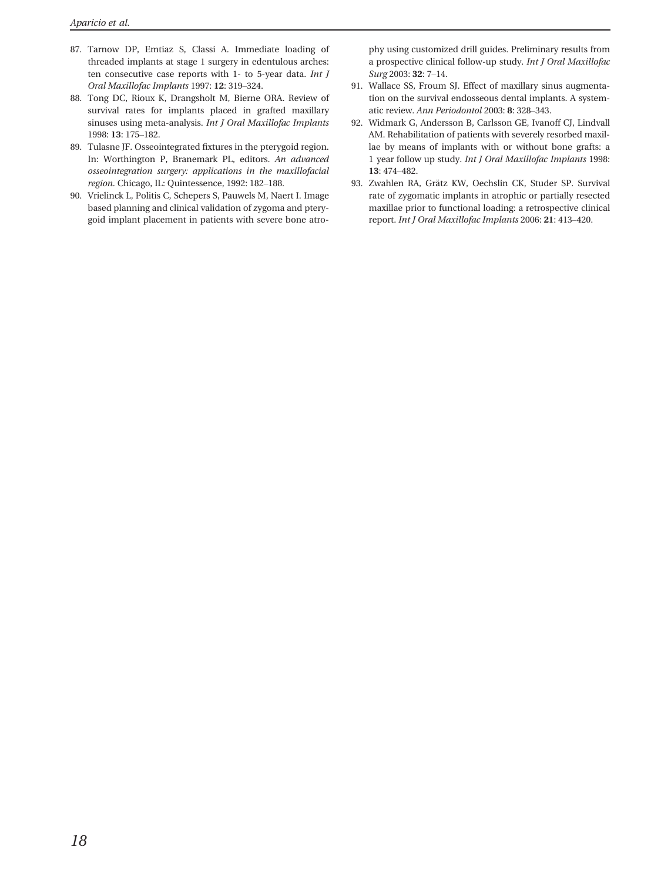- 87. Tarnow DP, Emtiaz S, Classi A. Immediate loading of threaded implants at stage 1 surgery in edentulous arches: ten consecutive case reports with 1- to 5-year data. Int J Oral Maxillofac Implants 1997: 12: 319–324.
- 88. Tong DC, Rioux K, Drangsholt M, Bierne ORA. Review of survival rates for implants placed in grafted maxillary sinuses using meta-analysis. Int J Oral Maxillofac Implants 1998: 13: 175–182.
- 89. Tulasne JF. Osseointegrated fixtures in the pterygoid region. In: Worthington P, Branemark PL, editors. An advanced osseointegration surgery: applications in the maxillofacial region. Chicago, IL: Quintessence, 1992: 182–188.
- 90. Vrielinck L, Politis C, Schepers S, Pauwels M, Naert I. Image based planning and clinical validation of zygoma and pterygoid implant placement in patients with severe bone atro-

phy using customized drill guides. Preliminary results from a prospective clinical follow-up study. Int J Oral Maxillofac Surg 2003: 32: 7–14.

- 91. Wallace SS, Froum SJ. Effect of maxillary sinus augmentation on the survival endosseous dental implants. A systematic review. Ann Periodontol 2003: 8: 328–343.
- 92. Widmark G, Andersson B, Carlsson GE, Ivanoff CJ, Lindvall AM. Rehabilitation of patients with severely resorbed maxillae by means of implants with or without bone grafts: a 1 year follow up study. Int J Oral Maxillofac Implants 1998: 13: 474–482.
- 93. Zwahlen RA, Grätz KW, Oechslin CK, Studer SP. Survival rate of zygomatic implants in atrophic or partially resected maxillae prior to functional loading: a retrospective clinical report. Int J Oral Maxillofac Implants 2006: 21: 413–420.